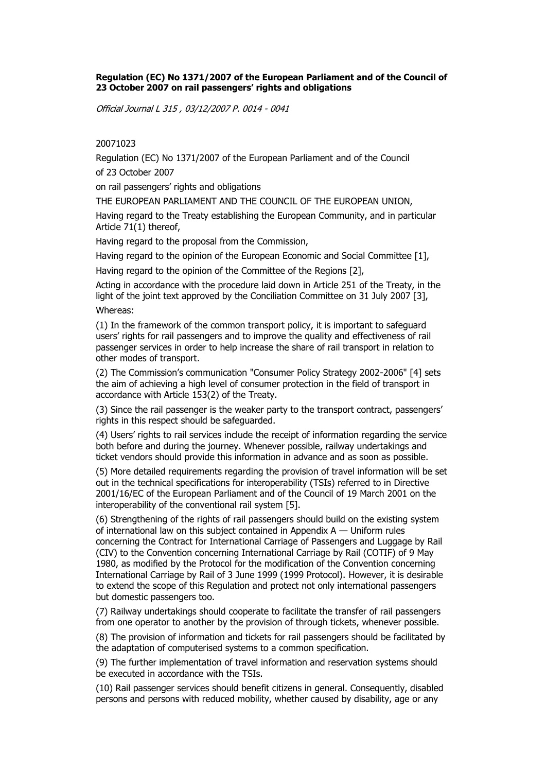### **Regulation (EC) No 1371/2007 of the European Parliament and of the Council of 23 October 2007 on rail passengers' rights and obligations**

Official Journal L 315 , 03/12/2007 P. 0014 - 0041

#### 20071023

Regulation (EC) No 1371/2007 of the European Parliament and of the Council of 23 October 2007

on rail passengers' rights and obligations

THE EUROPEAN PARLIAMENT AND THE COUNCIL OF THE EUROPEAN UNION,

Having regard to the Treaty establishing the European Community, and in particular Article 71(1) thereof,

Having regard to the proposal from the Commission,

Having regard to the opinion of the European Economic and Social Committee [1],

Having regard to the opinion of the Committee of the Regions [2],

Acting in accordance with the procedure laid down in Article 251 of the Treaty, in the light of the joint text approved by the Conciliation Committee on 31 July 2007 [3],

# Whereas:

(1) In the framework of the common transport policy, it is important to safeguard users' rights for rail passengers and to improve the quality and effectiveness of rail passenger services in order to help increase the share of rail transport in relation to other modes of transport.

(2) The Commission's communication "Consumer Policy Strategy 2002-2006" [4] sets the aim of achieving a high level of consumer protection in the field of transport in accordance with Article 153(2) of the Treaty.

(3) Since the rail passenger is the weaker party to the transport contract, passengers' rights in this respect should be safeguarded.

(4) Users' rights to rail services include the receipt of information regarding the service both before and during the journey. Whenever possible, railway undertakings and ticket vendors should provide this information in advance and as soon as possible.

(5) More detailed requirements regarding the provision of travel information will be set out in the technical specifications for interoperability (TSIs) referred to in Directive 2001/16/EC of the European Parliament and of the Council of 19 March 2001 on the interoperability of the conventional rail system [5].

(6) Strengthening of the rights of rail passengers should build on the existing system of international law on this subject contained in Appendix A — Uniform rules concerning the Contract for International Carriage of Passengers and Luggage by Rail (CIV) to the Convention concerning International Carriage by Rail (COTIF) of 9 May 1980, as modified by the Protocol for the modification of the Convention concerning International Carriage by Rail of 3 June 1999 (1999 Protocol). However, it is desirable to extend the scope of this Regulation and protect not only international passengers but domestic passengers too.

(7) Railway undertakings should cooperate to facilitate the transfer of rail passengers from one operator to another by the provision of through tickets, whenever possible.

(8) The provision of information and tickets for rail passengers should be facilitated by the adaptation of computerised systems to a common specification.

(9) The further implementation of travel information and reservation systems should be executed in accordance with the TSIs.

(10) Rail passenger services should benefit citizens in general. Consequently, disabled persons and persons with reduced mobility, whether caused by disability, age or any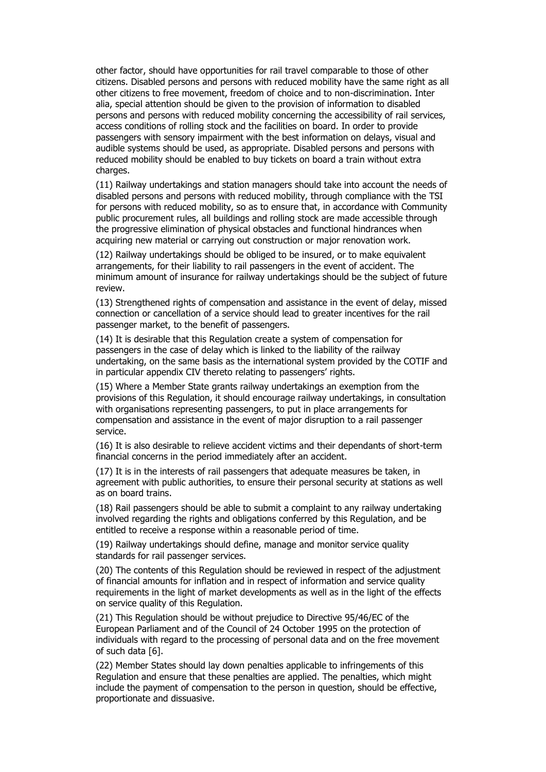other factor, should have opportunities for rail travel comparable to those of other citizens. Disabled persons and persons with reduced mobility have the same right as all other citizens to free movement, freedom of choice and to non-discrimination. Inter alia, special attention should be given to the provision of information to disabled persons and persons with reduced mobility concerning the accessibility of rail services, access conditions of rolling stock and the facilities on board. In order to provide passengers with sensory impairment with the best information on delays, visual and audible systems should be used, as appropriate. Disabled persons and persons with reduced mobility should be enabled to buy tickets on board a train without extra charges.

(11) Railway undertakings and station managers should take into account the needs of disabled persons and persons with reduced mobility, through compliance with the TSI for persons with reduced mobility, so as to ensure that, in accordance with Community public procurement rules, all buildings and rolling stock are made accessible through the progressive elimination of physical obstacles and functional hindrances when acquiring new material or carrying out construction or major renovation work.

(12) Railway undertakings should be obliged to be insured, or to make equivalent arrangements, for their liability to rail passengers in the event of accident. The minimum amount of insurance for railway undertakings should be the subject of future review.

(13) Strengthened rights of compensation and assistance in the event of delay, missed connection or cancellation of a service should lead to greater incentives for the rail passenger market, to the benefit of passengers.

(14) It is desirable that this Regulation create a system of compensation for passengers in the case of delay which is linked to the liability of the railway undertaking, on the same basis as the international system provided by the COTIF and in particular appendix CIV thereto relating to passengers' rights.

(15) Where a Member State grants railway undertakings an exemption from the provisions of this Regulation, it should encourage railway undertakings, in consultation with organisations representing passengers, to put in place arrangements for compensation and assistance in the event of major disruption to a rail passenger service.

(16) It is also desirable to relieve accident victims and their dependants of short-term financial concerns in the period immediately after an accident.

(17) It is in the interests of rail passengers that adequate measures be taken, in agreement with public authorities, to ensure their personal security at stations as well as on board trains.

(18) Rail passengers should be able to submit a complaint to any railway undertaking involved regarding the rights and obligations conferred by this Regulation, and be entitled to receive a response within a reasonable period of time.

(19) Railway undertakings should define, manage and monitor service quality standards for rail passenger services.

(20) The contents of this Regulation should be reviewed in respect of the adjustment of financial amounts for inflation and in respect of information and service quality requirements in the light of market developments as well as in the light of the effects on service quality of this Regulation.

(21) This Regulation should be without prejudice to Directive 95/46/EC of the European Parliament and of the Council of 24 October 1995 on the protection of individuals with regard to the processing of personal data and on the free movement of such data [6].

(22) Member States should lay down penalties applicable to infringements of this Regulation and ensure that these penalties are applied. The penalties, which might include the payment of compensation to the person in question, should be effective, proportionate and dissuasive.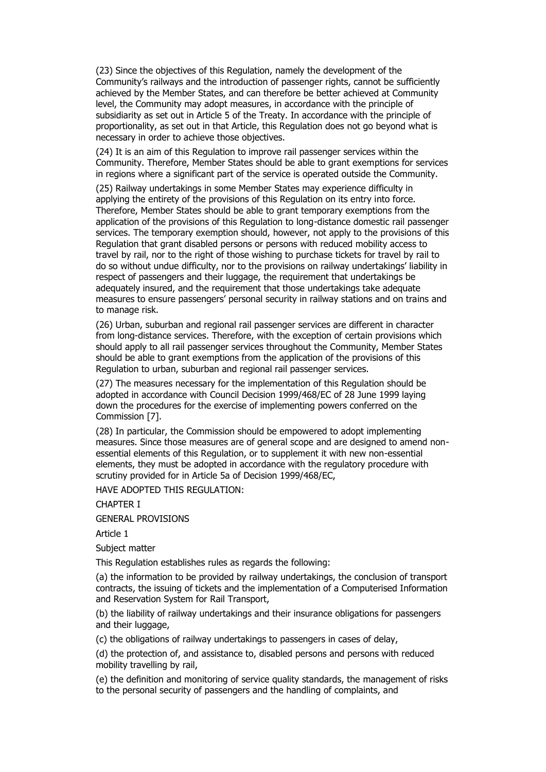(23) Since the objectives of this Regulation, namely the development of the Community's railways and the introduction of passenger rights, cannot be sufficiently achieved by the Member States, and can therefore be better achieved at Community level, the Community may adopt measures, in accordance with the principle of subsidiarity as set out in Article 5 of the Treaty. In accordance with the principle of proportionality, as set out in that Article, this Regulation does not go beyond what is necessary in order to achieve those objectives.

(24) It is an aim of this Regulation to improve rail passenger services within the Community. Therefore, Member States should be able to grant exemptions for services in regions where a significant part of the service is operated outside the Community.

(25) Railway undertakings in some Member States may experience difficulty in applying the entirety of the provisions of this Regulation on its entry into force. Therefore, Member States should be able to grant temporary exemptions from the application of the provisions of this Regulation to long-distance domestic rail passenger services. The temporary exemption should, however, not apply to the provisions of this Regulation that grant disabled persons or persons with reduced mobility access to travel by rail, nor to the right of those wishing to purchase tickets for travel by rail to do so without undue difficulty, nor to the provisions on railway undertakings' liability in respect of passengers and their luggage, the requirement that undertakings be adequately insured, and the requirement that those undertakings take adequate measures to ensure passengers' personal security in railway stations and on trains and to manage risk.

(26) Urban, suburban and regional rail passenger services are different in character from long-distance services. Therefore, with the exception of certain provisions which should apply to all rail passenger services throughout the Community, Member States should be able to grant exemptions from the application of the provisions of this Regulation to urban, suburban and regional rail passenger services.

(27) The measures necessary for the implementation of this Regulation should be adopted in accordance with Council Decision 1999/468/EC of 28 June 1999 laying down the procedures for the exercise of implementing powers conferred on the Commission [7].

(28) In particular, the Commission should be empowered to adopt implementing measures. Since those measures are of general scope and are designed to amend nonessential elements of this Regulation, or to supplement it with new non-essential elements, they must be adopted in accordance with the regulatory procedure with scrutiny provided for in Article 5a of Decision 1999/468/EC,

HAVE ADOPTED THIS REGULATION.

CHAPTER I

GENERAL PROVISIONS

Article 1

Subject matter

This Regulation establishes rules as regards the following:

(a) the information to be provided by railway undertakings, the conclusion of transport contracts, the issuing of tickets and the implementation of a Computerised Information and Reservation System for Rail Transport,

(b) the liability of railway undertakings and their insurance obligations for passengers and their luggage,

(c) the obligations of railway undertakings to passengers in cases of delay,

(d) the protection of, and assistance to, disabled persons and persons with reduced mobility travelling by rail,

(e) the definition and monitoring of service quality standards, the management of risks to the personal security of passengers and the handling of complaints, and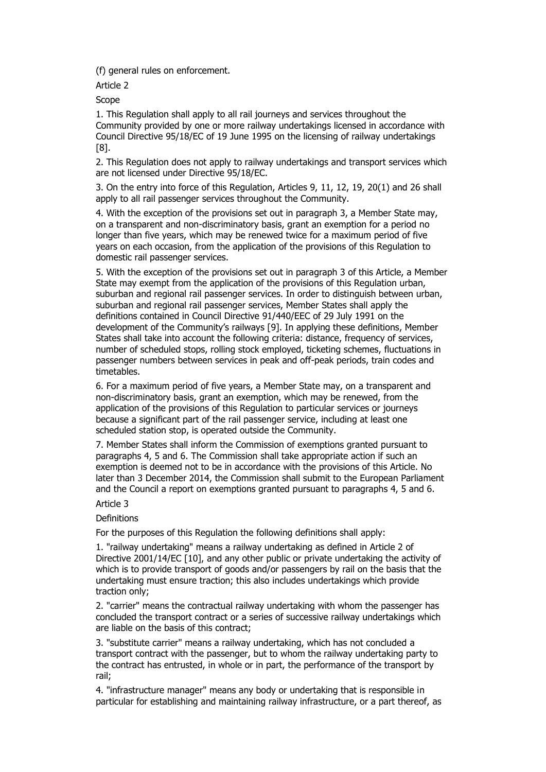(f) general rules on enforcement.

Article 2

Scope

1. This Regulation shall apply to all rail journeys and services throughout the Community provided by one or more railway undertakings licensed in accordance with Council Directive 95/18/EC of 19 June 1995 on the licensing of railway undertakings [8].

2. This Regulation does not apply to railway undertakings and transport services which are not licensed under Directive 95/18/EC.

3. On the entry into force of this Regulation, Articles 9, 11, 12, 19, 20(1) and 26 shall apply to all rail passenger services throughout the Community.

4. With the exception of the provisions set out in paragraph 3, a Member State may, on a transparent and non-discriminatory basis, grant an exemption for a period no longer than five years, which may be renewed twice for a maximum period of five years on each occasion, from the application of the provisions of this Regulation to domestic rail passenger services.

5. With the exception of the provisions set out in paragraph 3 of this Article, a Member State may exempt from the application of the provisions of this Regulation urban, suburban and regional rail passenger services. In order to distinguish between urban, suburban and regional rail passenger services, Member States shall apply the definitions contained in Council Directive 91/440/EEC of 29 July 1991 on the development of the Community's railways [9]. In applying these definitions, Member States shall take into account the following criteria: distance, frequency of services, number of scheduled stops, rolling stock employed, ticketing schemes, fluctuations in passenger numbers between services in peak and off-peak periods, train codes and timetables.

6. For a maximum period of five years, a Member State may, on a transparent and non-discriminatory basis, grant an exemption, which may be renewed, from the application of the provisions of this Regulation to particular services or journeys because a significant part of the rail passenger service, including at least one scheduled station stop, is operated outside the Community.

7. Member States shall inform the Commission of exemptions granted pursuant to paragraphs 4, 5 and 6. The Commission shall take appropriate action if such an exemption is deemed not to be in accordance with the provisions of this Article. No later than 3 December 2014, the Commission shall submit to the European Parliament and the Council a report on exemptions granted pursuant to paragraphs 4, 5 and 6.

Article 3

## Definitions

For the purposes of this Regulation the following definitions shall apply:

1. "railway undertaking" means a railway undertaking as defined in Article 2 of Directive 2001/14/EC [10], and any other public or private undertaking the activity of which is to provide transport of goods and/or passengers by rail on the basis that the undertaking must ensure traction; this also includes undertakings which provide traction only;

2. "carrier" means the contractual railway undertaking with whom the passenger has concluded the transport contract or a series of successive railway undertakings which are liable on the basis of this contract;

3. "substitute carrier" means a railway undertaking, which has not concluded a transport contract with the passenger, but to whom the railway undertaking party to the contract has entrusted, in whole or in part, the performance of the transport by rail;

4. "infrastructure manager" means any body or undertaking that is responsible in particular for establishing and maintaining railway infrastructure, or a part thereof, as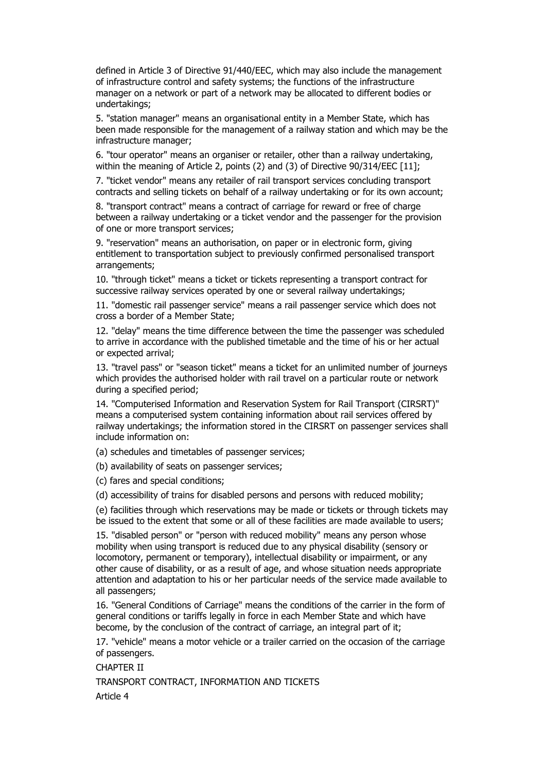defined in Article 3 of Directive 91/440/EEC, which may also include the management of infrastructure control and safety systems; the functions of the infrastructure manager on a network or part of a network may be allocated to different bodies or undertakings;

5. "station manager" means an organisational entity in a Member State, which has been made responsible for the management of a railway station and which may be the infrastructure manager;

6. "tour operator" means an organiser or retailer, other than a railway undertaking, within the meaning of Article 2, points (2) and (3) of Directive 90/314/EEC [11];

7. "ticket vendor" means any retailer of rail transport services concluding transport contracts and selling tickets on behalf of a railway undertaking or for its own account;

8. "transport contract" means a contract of carriage for reward or free of charge between a railway undertaking or a ticket vendor and the passenger for the provision of one or more transport services;

9. "reservation" means an authorisation, on paper or in electronic form, giving entitlement to transportation subject to previously confirmed personalised transport arrangements;

10. "through ticket" means a ticket or tickets representing a transport contract for successive railway services operated by one or several railway undertakings;

11. "domestic rail passenger service" means a rail passenger service which does not cross a border of a Member State;

12. "delay" means the time difference between the time the passenger was scheduled to arrive in accordance with the published timetable and the time of his or her actual or expected arrival;

13. "travel pass" or "season ticket" means a ticket for an unlimited number of journeys which provides the authorised holder with rail travel on a particular route or network during a specified period;

14. "Computerised Information and Reservation System for Rail Transport (CIRSRT)" means a computerised system containing information about rail services offered by railway undertakings; the information stored in the CIRSRT on passenger services shall include information on:

(a) schedules and timetables of passenger services;

(b) availability of seats on passenger services;

(c) fares and special conditions;

(d) accessibility of trains for disabled persons and persons with reduced mobility;

(e) facilities through which reservations may be made or tickets or through tickets may be issued to the extent that some or all of these facilities are made available to users;

15. "disabled person" or "person with reduced mobility" means any person whose mobility when using transport is reduced due to any physical disability (sensory or locomotory, permanent or temporary), intellectual disability or impairment, or any other cause of disability, or as a result of age, and whose situation needs appropriate attention and adaptation to his or her particular needs of the service made available to all passengers;

16. "General Conditions of Carriage" means the conditions of the carrier in the form of general conditions or tariffs legally in force in each Member State and which have become, by the conclusion of the contract of carriage, an integral part of it;

17. "vehicle" means a motor vehicle or a trailer carried on the occasion of the carriage of passengers.

CHAPTER II

TRANSPORT CONTRACT, INFORMATION AND TICKETS

Article 4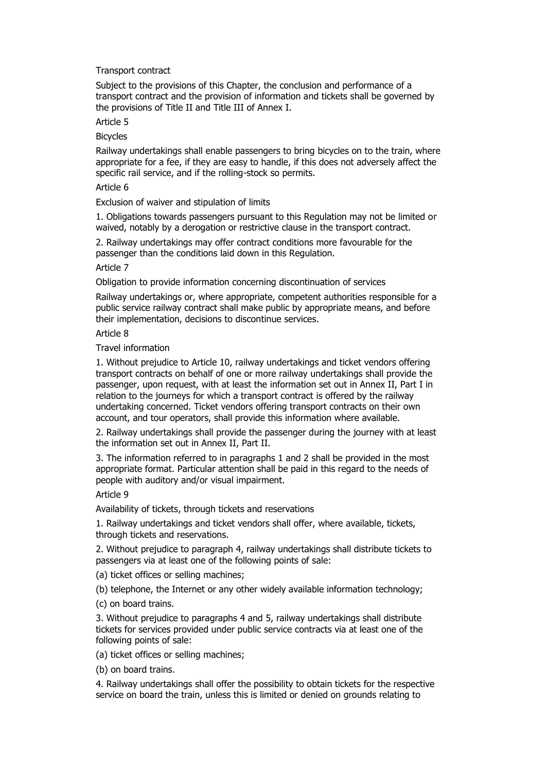### Transport contract

Subject to the provisions of this Chapter, the conclusion and performance of a transport contract and the provision of information and tickets shall be governed by the provisions of Title II and Title III of Annex I.

Article 5

### Bicycles

Railway undertakings shall enable passengers to bring bicycles on to the train, where appropriate for a fee, if they are easy to handle, if this does not adversely affect the specific rail service, and if the rolling-stock so permits.

### Article 6

Exclusion of waiver and stipulation of limits

1. Obligations towards passengers pursuant to this Regulation may not be limited or waived, notably by a derogation or restrictive clause in the transport contract.

2. Railway undertakings may offer contract conditions more favourable for the passenger than the conditions laid down in this Regulation.

Article 7

Obligation to provide information concerning discontinuation of services

Railway undertakings or, where appropriate, competent authorities responsible for a public service railway contract shall make public by appropriate means, and before their implementation, decisions to discontinue services.

### Article 8

Travel information

1. Without prejudice to Article 10, railway undertakings and ticket vendors offering transport contracts on behalf of one or more railway undertakings shall provide the passenger, upon request, with at least the information set out in Annex II, Part I in relation to the journeys for which a transport contract is offered by the railway undertaking concerned. Ticket vendors offering transport contracts on their own account, and tour operators, shall provide this information where available.

2. Railway undertakings shall provide the passenger during the journey with at least the information set out in Annex II, Part II.

3. The information referred to in paragraphs 1 and 2 shall be provided in the most appropriate format. Particular attention shall be paid in this regard to the needs of people with auditory and/or visual impairment.

Article 9

Availability of tickets, through tickets and reservations

1. Railway undertakings and ticket vendors shall offer, where available, tickets, through tickets and reservations.

2. Without prejudice to paragraph 4, railway undertakings shall distribute tickets to passengers via at least one of the following points of sale:

(a) ticket offices or selling machines;

(b) telephone, the Internet or any other widely available information technology;

(c) on board trains.

3. Without prejudice to paragraphs 4 and 5, railway undertakings shall distribute tickets for services provided under public service contracts via at least one of the following points of sale:

(a) ticket offices or selling machines;

(b) on board trains.

4. Railway undertakings shall offer the possibility to obtain tickets for the respective service on board the train, unless this is limited or denied on grounds relating to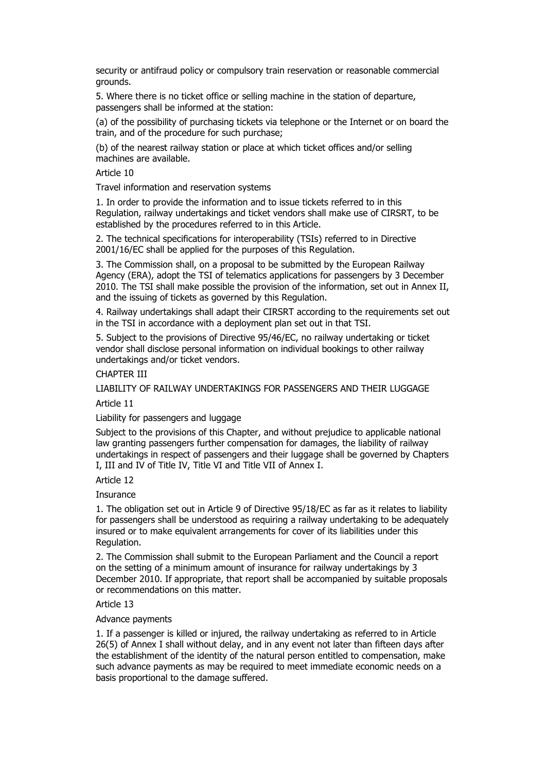security or antifraud policy or compulsory train reservation or reasonable commercial grounds.

5. Where there is no ticket office or selling machine in the station of departure, passengers shall be informed at the station:

(a) of the possibility of purchasing tickets via telephone or the Internet or on board the train, and of the procedure for such purchase;

(b) of the nearest railway station or place at which ticket offices and/or selling machines are available.

### Article 10

Travel information and reservation systems

1. In order to provide the information and to issue tickets referred to in this Regulation, railway undertakings and ticket vendors shall make use of CIRSRT, to be established by the procedures referred to in this Article.

2. The technical specifications for interoperability (TSIs) referred to in Directive 2001/16/EC shall be applied for the purposes of this Regulation.

3. The Commission shall, on a proposal to be submitted by the European Railway Agency (ERA), adopt the TSI of telematics applications for passengers by 3 December 2010. The TSI shall make possible the provision of the information, set out in Annex II, and the issuing of tickets as governed by this Regulation.

4. Railway undertakings shall adapt their CIRSRT according to the requirements set out in the TSI in accordance with a deployment plan set out in that TSI.

5. Subject to the provisions of Directive 95/46/EC, no railway undertaking or ticket vendor shall disclose personal information on individual bookings to other railway undertakings and/or ticket vendors.

### CHAPTER III

LIABILITY OF RAILWAY UNDERTAKINGS FOR PASSENGERS AND THEIR LUGGAGE

Article 11

Liability for passengers and luggage

Subject to the provisions of this Chapter, and without prejudice to applicable national law granting passengers further compensation for damages, the liability of railway undertakings in respect of passengers and their luggage shall be governed by Chapters I, III and IV of Title IV, Title VI and Title VII of Annex I.

#### Article 12

**Insurance** 

1. The obligation set out in Article 9 of Directive 95/18/EC as far as it relates to liability for passengers shall be understood as requiring a railway undertaking to be adequately insured or to make equivalent arrangements for cover of its liabilities under this Regulation.

2. The Commission shall submit to the European Parliament and the Council a report on the setting of a minimum amount of insurance for railway undertakings by 3 December 2010. If appropriate, that report shall be accompanied by suitable proposals or recommendations on this matter.

#### Article 13

#### Advance payments

1. If a passenger is killed or injured, the railway undertaking as referred to in Article 26(5) of Annex I shall without delay, and in any event not later than fifteen days after the establishment of the identity of the natural person entitled to compensation, make such advance payments as may be required to meet immediate economic needs on a basis proportional to the damage suffered.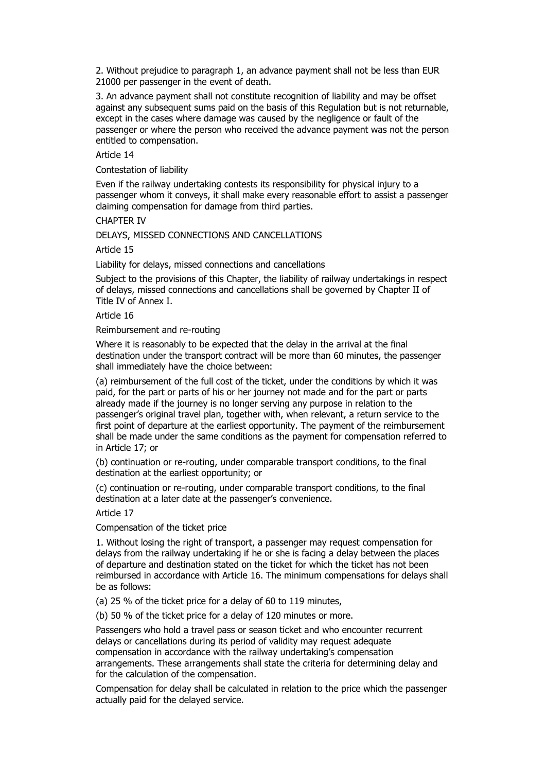2. Without prejudice to paragraph 1, an advance payment shall not be less than EUR 21000 per passenger in the event of death.

3. An advance payment shall not constitute recognition of liability and may be offset against any subsequent sums paid on the basis of this Regulation but is not returnable, except in the cases where damage was caused by the negligence or fault of the passenger or where the person who received the advance payment was not the person entitled to compensation.

## Article 14

Contestation of liability

Even if the railway undertaking contests its responsibility for physical injury to a passenger whom it conveys, it shall make every reasonable effort to assist a passenger claiming compensation for damage from third parties.

## CHAPTER IV

DELAYS, MISSED CONNECTIONS AND CANCELLATIONS

Article 15

Liability for delays, missed connections and cancellations

Subject to the provisions of this Chapter, the liability of railway undertakings in respect of delays, missed connections and cancellations shall be governed by Chapter II of Title IV of Annex I.

Article 16

Reimbursement and re-routing

Where it is reasonably to be expected that the delay in the arrival at the final destination under the transport contract will be more than 60 minutes, the passenger shall immediately have the choice between:

(a) reimbursement of the full cost of the ticket, under the conditions by which it was paid, for the part or parts of his or her journey not made and for the part or parts already made if the journey is no longer serving any purpose in relation to the passenger's original travel plan, together with, when relevant, a return service to the first point of departure at the earliest opportunity. The payment of the reimbursement shall be made under the same conditions as the payment for compensation referred to in Article 17; or

(b) continuation or re-routing, under comparable transport conditions, to the final destination at the earliest opportunity; or

(c) continuation or re-routing, under comparable transport conditions, to the final destination at a later date at the passenger's convenience.

Article 17

Compensation of the ticket price

1. Without losing the right of transport, a passenger may request compensation for delays from the railway undertaking if he or she is facing a delay between the places of departure and destination stated on the ticket for which the ticket has not been reimbursed in accordance with Article 16. The minimum compensations for delays shall be as follows:

(a) 25 % of the ticket price for a delay of 60 to 119 minutes,

(b) 50 % of the ticket price for a delay of 120 minutes or more.

Passengers who hold a travel pass or season ticket and who encounter recurrent delays or cancellations during its period of validity may request adequate compensation in accordance with the railway undertaking's compensation arrangements. These arrangements shall state the criteria for determining delay and for the calculation of the compensation.

Compensation for delay shall be calculated in relation to the price which the passenger actually paid for the delayed service.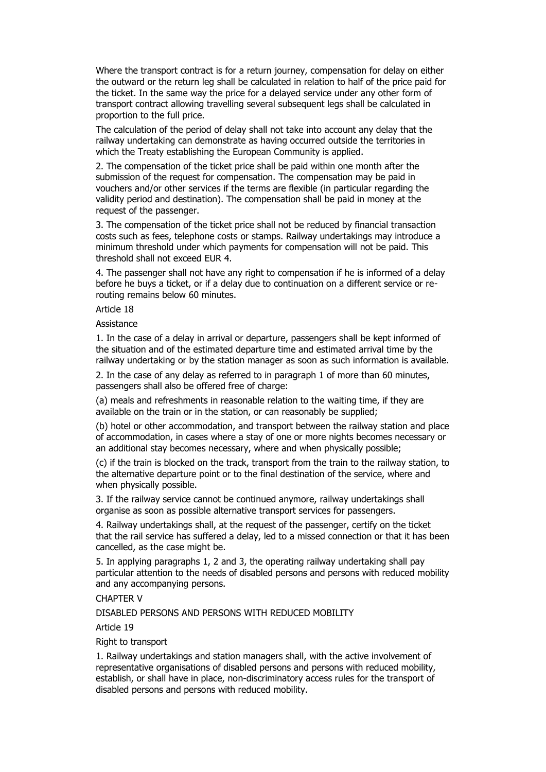Where the transport contract is for a return journey, compensation for delay on either the outward or the return leg shall be calculated in relation to half of the price paid for the ticket. In the same way the price for a delayed service under any other form of transport contract allowing travelling several subsequent legs shall be calculated in proportion to the full price.

The calculation of the period of delay shall not take into account any delay that the railway undertaking can demonstrate as having occurred outside the territories in which the Treaty establishing the European Community is applied.

2. The compensation of the ticket price shall be paid within one month after the submission of the request for compensation. The compensation may be paid in vouchers and/or other services if the terms are flexible (in particular regarding the validity period and destination). The compensation shall be paid in money at the request of the passenger.

3. The compensation of the ticket price shall not be reduced by financial transaction costs such as fees, telephone costs or stamps. Railway undertakings may introduce a minimum threshold under which payments for compensation will not be paid. This threshold shall not exceed EUR 4.

4. The passenger shall not have any right to compensation if he is informed of a delay before he buys a ticket, or if a delay due to continuation on a different service or rerouting remains below 60 minutes.

Article 18

Assistance

1. In the case of a delay in arrival or departure, passengers shall be kept informed of the situation and of the estimated departure time and estimated arrival time by the railway undertaking or by the station manager as soon as such information is available.

2. In the case of any delay as referred to in paragraph 1 of more than 60 minutes, passengers shall also be offered free of charge:

(a) meals and refreshments in reasonable relation to the waiting time, if they are available on the train or in the station, or can reasonably be supplied;

(b) hotel or other accommodation, and transport between the railway station and place of accommodation, in cases where a stay of one or more nights becomes necessary or an additional stay becomes necessary, where and when physically possible;

(c) if the train is blocked on the track, transport from the train to the railway station, to the alternative departure point or to the final destination of the service, where and when physically possible.

3. If the railway service cannot be continued anymore, railway undertakings shall organise as soon as possible alternative transport services for passengers.

4. Railway undertakings shall, at the request of the passenger, certify on the ticket that the rail service has suffered a delay, led to a missed connection or that it has been cancelled, as the case might be.

5. In applying paragraphs 1, 2 and 3, the operating railway undertaking shall pay particular attention to the needs of disabled persons and persons with reduced mobility and any accompanying persons.

## CHAPTER V

DISABLED PERSONS AND PERSONS WITH REDUCED MOBILITY

Article 19

Right to transport

1. Railway undertakings and station managers shall, with the active involvement of representative organisations of disabled persons and persons with reduced mobility, establish, or shall have in place, non-discriminatory access rules for the transport of disabled persons and persons with reduced mobility.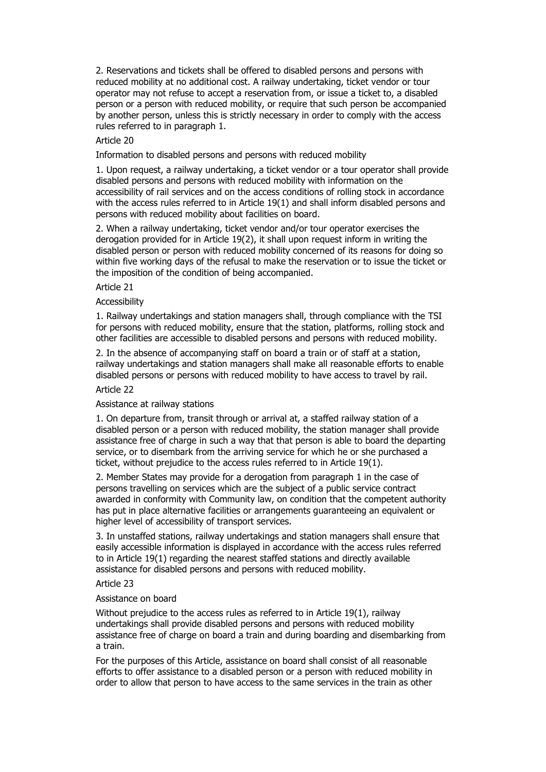2. Reservations and tickets shall be offered to disabled persons and persons with reduced mobility at no additional cost. A railway undertaking, ticket vendor or tour operator may not refuse to accept a reservation from, or issue a ticket to, a disabled person or a person with reduced mobility, or require that such person be accompanied by another person, unless this is strictly necessary in order to comply with the access rules referred to in paragraph 1.

#### Article 20

Information to disabled persons and persons with reduced mobility

1. Upon request, a railway undertaking, a ticket vendor or a tour operator shall provide disabled persons and persons with reduced mobility with information on the accessibility of rail services and on the access conditions of rolling stock in accordance with the access rules referred to in Article 19(1) and shall inform disabled persons and persons with reduced mobility about facilities on board.

2. When a railway undertaking, ticket vendor and/or tour operator exercises the derogation provided for in Article 19(2), it shall upon request inform in writing the disabled person or person with reduced mobility concerned of its reasons for doing so within five working days of the refusal to make the reservation or to issue the ticket or the imposition of the condition of being accompanied.

#### Article 21

#### Accessibility

1. Railway undertakings and station managers shall, through compliance with the TSI for persons with reduced mobility, ensure that the station, platforms, rolling stock and other facilities are accessible to disabled persons and persons with reduced mobility.

2. In the absence of accompanying staff on board a train or of staff at a station, railway undertakings and station managers shall make all reasonable efforts to enable disabled persons or persons with reduced mobility to have access to travel by rail.

# Article 22

#### Assistance at railway stations

1. On departure from, transit through or arrival at, a staffed railway station of a disabled person or a person with reduced mobility, the station manager shall provide assistance free of charge in such a way that that person is able to board the departing service, or to disembark from the arriving service for which he or she purchased a ticket, without prejudice to the access rules referred to in Article 19(1).

2. Member States may provide for a derogation from paragraph 1 in the case of persons travelling on services which are the subject of a public service contract awarded in conformity with Community law, on condition that the competent authority has put in place alternative facilities or arrangements guaranteeing an equivalent or higher level of accessibility of transport services.

3. In unstaffed stations, railway undertakings and station managers shall ensure that easily accessible information is displayed in accordance with the access rules referred to in Article 19(1) regarding the nearest staffed stations and directly available assistance for disabled persons and persons with reduced mobility.

#### Article 23

### Assistance on board

Without prejudice to the access rules as referred to in Article 19(1), railway undertakings shall provide disabled persons and persons with reduced mobility assistance free of charge on board a train and during boarding and disembarking from a train.

For the purposes of this Article, assistance on board shall consist of all reasonable efforts to offer assistance to a disabled person or a person with reduced mobility in order to allow that person to have access to the same services in the train as other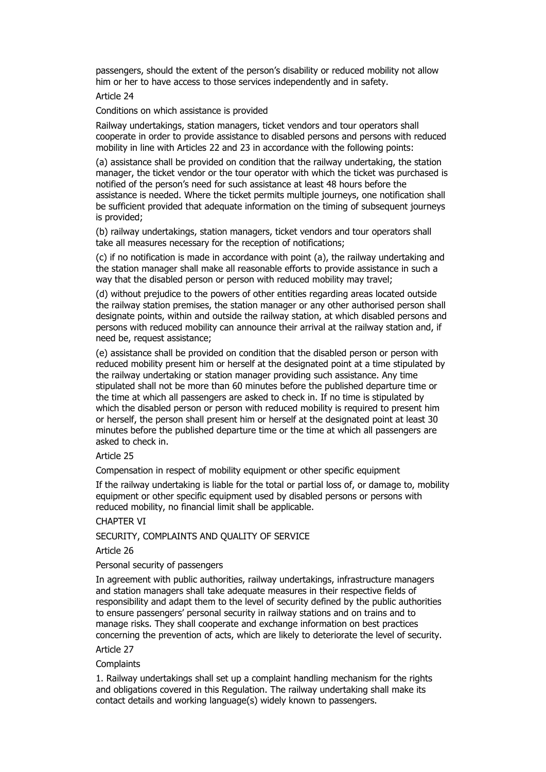passengers, should the extent of the person's disability or reduced mobility not allow him or her to have access to those services independently and in safety.

# Article 24

Conditions on which assistance is provided

Railway undertakings, station managers, ticket vendors and tour operators shall cooperate in order to provide assistance to disabled persons and persons with reduced mobility in line with Articles 22 and 23 in accordance with the following points:

(a) assistance shall be provided on condition that the railway undertaking, the station manager, the ticket vendor or the tour operator with which the ticket was purchased is notified of the person's need for such assistance at least 48 hours before the assistance is needed. Where the ticket permits multiple journeys, one notification shall be sufficient provided that adequate information on the timing of subsequent journeys is provided;

(b) railway undertakings, station managers, ticket vendors and tour operators shall take all measures necessary for the reception of notifications;

(c) if no notification is made in accordance with point (a), the railway undertaking and the station manager shall make all reasonable efforts to provide assistance in such a way that the disabled person or person with reduced mobility may travel;

(d) without prejudice to the powers of other entities regarding areas located outside the railway station premises, the station manager or any other authorised person shall designate points, within and outside the railway station, at which disabled persons and persons with reduced mobility can announce their arrival at the railway station and, if need be, request assistance;

(e) assistance shall be provided on condition that the disabled person or person with reduced mobility present him or herself at the designated point at a time stipulated by the railway undertaking or station manager providing such assistance. Any time stipulated shall not be more than 60 minutes before the published departure time or the time at which all passengers are asked to check in. If no time is stipulated by which the disabled person or person with reduced mobility is required to present him or herself, the person shall present him or herself at the designated point at least 30 minutes before the published departure time or the time at which all passengers are asked to check in.

## Article 25

Compensation in respect of mobility equipment or other specific equipment

If the railway undertaking is liable for the total or partial loss of, or damage to, mobility equipment or other specific equipment used by disabled persons or persons with reduced mobility, no financial limit shall be applicable.

## CHAPTER VI

#### SECURITY, COMPLAINTS AND QUALITY OF SERVICE

Article 26

## Personal security of passengers

In agreement with public authorities, railway undertakings, infrastructure managers and station managers shall take adequate measures in their respective fields of responsibility and adapt them to the level of security defined by the public authorities to ensure passengers' personal security in railway stations and on trains and to manage risks. They shall cooperate and exchange information on best practices concerning the prevention of acts, which are likely to deteriorate the level of security.

### Article 27

#### **Complaints**

1. Railway undertakings shall set up a complaint handling mechanism for the rights and obligations covered in this Regulation. The railway undertaking shall make its contact details and working language(s) widely known to passengers.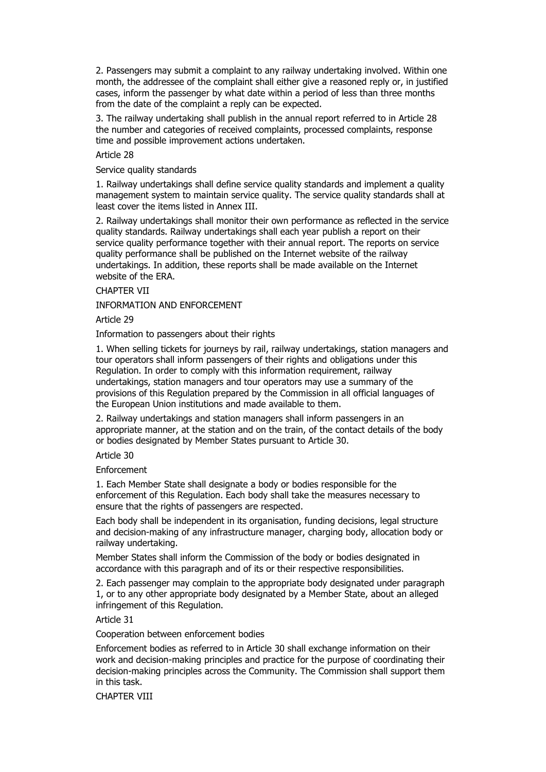2. Passengers may submit a complaint to any railway undertaking involved. Within one month, the addressee of the complaint shall either give a reasoned reply or, in justified cases, inform the passenger by what date within a period of less than three months from the date of the complaint a reply can be expected.

3. The railway undertaking shall publish in the annual report referred to in Article 28 the number and categories of received complaints, processed complaints, response time and possible improvement actions undertaken.

Article 28

Service quality standards

1. Railway undertakings shall define service quality standards and implement a quality management system to maintain service quality. The service quality standards shall at least cover the items listed in Annex III.

2. Railway undertakings shall monitor their own performance as reflected in the service quality standards. Railway undertakings shall each year publish a report on their service quality performance together with their annual report. The reports on service quality performance shall be published on the Internet website of the railway undertakings. In addition, these reports shall be made available on the Internet website of the ERA.

CHAPTER VII

INFORMATION AND ENFORCEMENT

Article 29

Information to passengers about their rights

1. When selling tickets for journeys by rail, railway undertakings, station managers and tour operators shall inform passengers of their rights and obligations under this Regulation. In order to comply with this information requirement, railway undertakings, station managers and tour operators may use a summary of the provisions of this Regulation prepared by the Commission in all official languages of the European Union institutions and made available to them.

2. Railway undertakings and station managers shall inform passengers in an appropriate manner, at the station and on the train, of the contact details of the body or bodies designated by Member States pursuant to Article 30.

Article 30

Enforcement

1. Each Member State shall designate a body or bodies responsible for the enforcement of this Regulation. Each body shall take the measures necessary to ensure that the rights of passengers are respected.

Each body shall be independent in its organisation, funding decisions, legal structure and decision-making of any infrastructure manager, charging body, allocation body or railway undertaking.

Member States shall inform the Commission of the body or bodies designated in accordance with this paragraph and of its or their respective responsibilities.

2. Each passenger may complain to the appropriate body designated under paragraph 1, or to any other appropriate body designated by a Member State, about an alleged infringement of this Regulation.

Article 31

Cooperation between enforcement bodies

Enforcement bodies as referred to in Article 30 shall exchange information on their work and decision-making principles and practice for the purpose of coordinating their decision-making principles across the Community. The Commission shall support them in this task.

CHAPTER VIII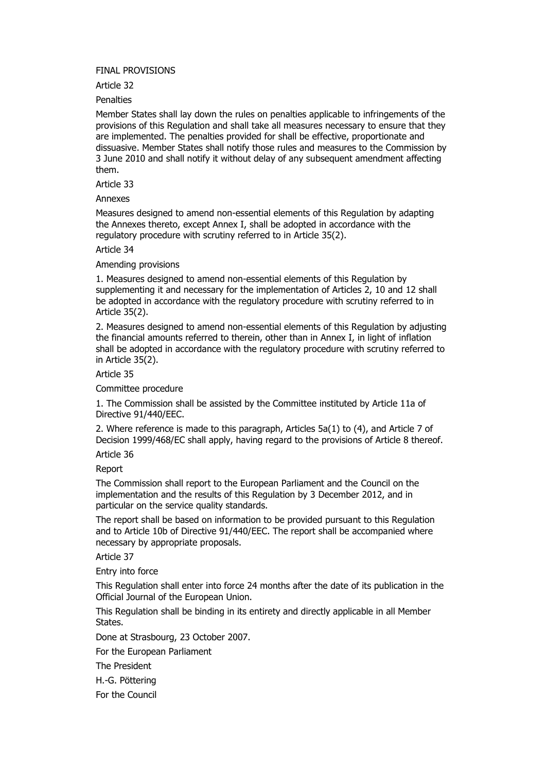## FINAL PROVISIONS

Article 32

**Penalties** 

Member States shall lay down the rules on penalties applicable to infringements of the provisions of this Regulation and shall take all measures necessary to ensure that they are implemented. The penalties provided for shall be effective, proportionate and dissuasive. Member States shall notify those rules and measures to the Commission by 3 June 2010 and shall notify it without delay of any subsequent amendment affecting them.

Article 33

Annexes

Measures designed to amend non-essential elements of this Regulation by adapting the Annexes thereto, except Annex I, shall be adopted in accordance with the regulatory procedure with scrutiny referred to in Article 35(2).

#### Article 34

Amending provisions

1. Measures designed to amend non-essential elements of this Regulation by supplementing it and necessary for the implementation of Articles 2, 10 and 12 shall be adopted in accordance with the regulatory procedure with scrutiny referred to in Article 35(2).

2. Measures designed to amend non-essential elements of this Regulation by adjusting the financial amounts referred to therein, other than in Annex I, in light of inflation shall be adopted in accordance with the regulatory procedure with scrutiny referred to in Article 35(2).

Article 35

Committee procedure

1. The Commission shall be assisted by the Committee instituted by Article 11a of Directive 91/440/EEC.

2. Where reference is made to this paragraph, Articles 5a(1) to (4), and Article 7 of Decision 1999/468/EC shall apply, having regard to the provisions of Article 8 thereof.

Article 36

Report

The Commission shall report to the European Parliament and the Council on the implementation and the results of this Regulation by 3 December 2012, and in particular on the service quality standards.

The report shall be based on information to be provided pursuant to this Regulation and to Article 10b of Directive 91/440/EEC. The report shall be accompanied where necessary by appropriate proposals.

Article 37

Entry into force

This Regulation shall enter into force 24 months after the date of its publication in the Official Journal of the European Union.

This Regulation shall be binding in its entirety and directly applicable in all Member States.

Done at Strasbourg, 23 October 2007.

For the European Parliament

The President

H.-G. Pöttering

For the Council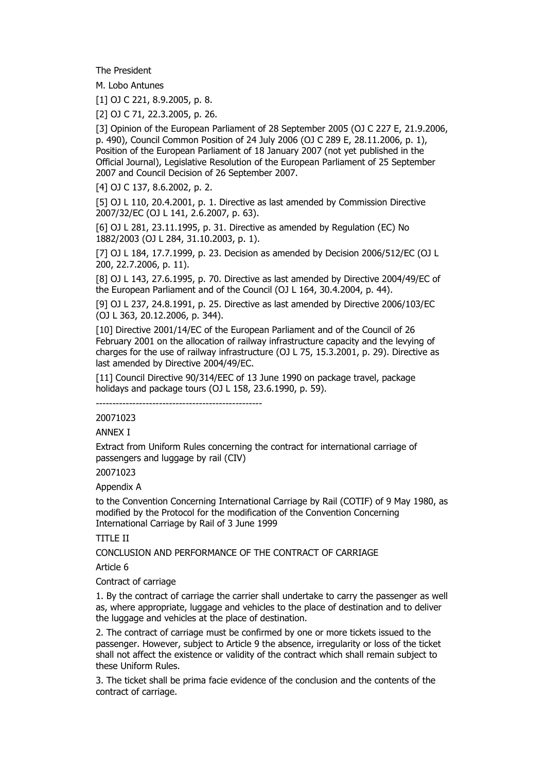The President

M. Lobo Antunes

[1] OJ C 221, 8.9.2005, p. 8.

[2] OJ C 71, 22.3.2005, p. 26.

[3] Opinion of the European Parliament of 28 September 2005 (OJ C 227 E, 21.9.2006, p. 490), Council Common Position of 24 July 2006 (OJ C 289 E, 28.11.2006, p. 1), Position of the European Parliament of 18 January 2007 (not yet published in the Official Journal), Legislative Resolution of the European Parliament of 25 September 2007 and Council Decision of 26 September 2007.

[4] OJ C 137, 8.6.2002, p. 2.

[5] OJ L 110, 20.4.2001, p. 1. Directive as last amended by Commission Directive 2007/32/EC (OJ L 141, 2.6.2007, p. 63).

[6] OJ L 281, 23.11.1995, p. 31. Directive as amended by Regulation (EC) No 1882/2003 (OJ L 284, 31.10.2003, p. 1).

[7] OJ L 184, 17.7.1999, p. 23. Decision as amended by Decision 2006/512/EC (OJ L 200, 22.7.2006, p. 11).

[8] OJ L 143, 27.6.1995, p. 70. Directive as last amended by Directive 2004/49/EC of the European Parliament and of the Council (OJ L 164, 30.4.2004, p. 44).

[9] OJ L 237, 24.8.1991, p. 25. Directive as last amended by Directive 2006/103/EC (OJ L 363, 20.12.2006, p. 344).

[10] Directive 2001/14/EC of the European Parliament and of the Council of 26 February 2001 on the allocation of railway infrastructure capacity and the levying of charges for the use of railway infrastructure (OJ L 75, 15.3.2001, p. 29). Directive as last amended by Directive 2004/49/EC.

[11] Council Directive 90/314/EEC of 13 June 1990 on package travel, package holidays and package tours (OJ L 158, 23.6.1990, p. 59).

--------------------------------------------------

20071023

ANNEX I

Extract from Uniform Rules concerning the contract for international carriage of passengers and luggage by rail (CIV)

20071023

Appendix A

to the Convention Concerning International Carriage by Rail (COTIF) of 9 May 1980, as modified by the Protocol for the modification of the Convention Concerning International Carriage by Rail of 3 June 1999

### TITLE II

CONCLUSION AND PERFORMANCE OF THE CONTRACT OF CARRIAGE

Article 6

Contract of carriage

1. By the contract of carriage the carrier shall undertake to carry the passenger as well as, where appropriate, luggage and vehicles to the place of destination and to deliver the luggage and vehicles at the place of destination.

2. The contract of carriage must be confirmed by one or more tickets issued to the passenger. However, subject to Article 9 the absence, irregularity or loss of the ticket shall not affect the existence or validity of the contract which shall remain subject to these Uniform Rules.

3. The ticket shall be prima facie evidence of the conclusion and the contents of the contract of carriage.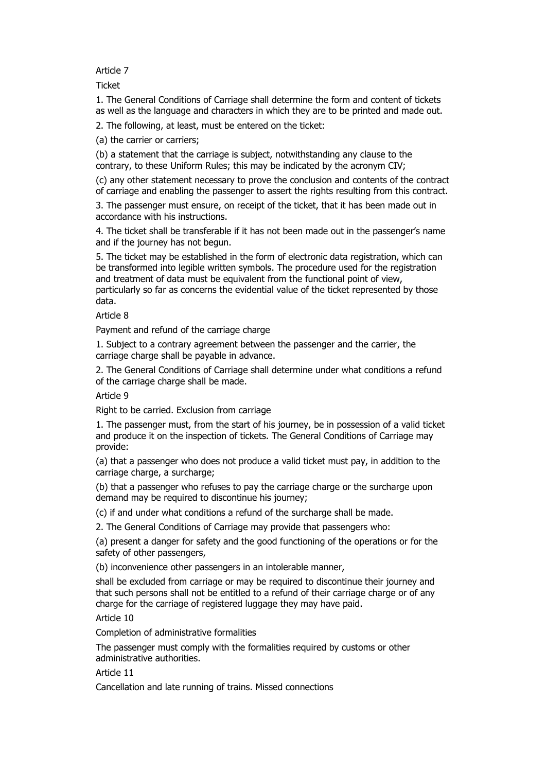Article 7

**Ticket** 

1. The General Conditions of Carriage shall determine the form and content of tickets as well as the language and characters in which they are to be printed and made out.

2. The following, at least, must be entered on the ticket:

(a) the carrier or carriers;

(b) a statement that the carriage is subject, notwithstanding any clause to the contrary, to these Uniform Rules; this may be indicated by the acronym CIV;

(c) any other statement necessary to prove the conclusion and contents of the contract of carriage and enabling the passenger to assert the rights resulting from this contract.

3. The passenger must ensure, on receipt of the ticket, that it has been made out in accordance with his instructions.

4. The ticket shall be transferable if it has not been made out in the passenger's name and if the journey has not begun.

5. The ticket may be established in the form of electronic data registration, which can be transformed into legible written symbols. The procedure used for the registration and treatment of data must be equivalent from the functional point of view, particularly so far as concerns the evidential value of the ticket represented by those data.

Article 8

Payment and refund of the carriage charge

1. Subject to a contrary agreement between the passenger and the carrier, the carriage charge shall be payable in advance.

2. The General Conditions of Carriage shall determine under what conditions a refund of the carriage charge shall be made.

Article 9

Right to be carried. Exclusion from carriage

1. The passenger must, from the start of his journey, be in possession of a valid ticket and produce it on the inspection of tickets. The General Conditions of Carriage may provide:

(a) that a passenger who does not produce a valid ticket must pay, in addition to the carriage charge, a surcharge;

(b) that a passenger who refuses to pay the carriage charge or the surcharge upon demand may be required to discontinue his journey;

(c) if and under what conditions a refund of the surcharge shall be made.

2. The General Conditions of Carriage may provide that passengers who:

(a) present a danger for safety and the good functioning of the operations or for the safety of other passengers,

(b) inconvenience other passengers in an intolerable manner,

shall be excluded from carriage or may be required to discontinue their journey and that such persons shall not be entitled to a refund of their carriage charge or of any charge for the carriage of registered luggage they may have paid.

Article 10

Completion of administrative formalities

The passenger must comply with the formalities required by customs or other administrative authorities.

Article 11

Cancellation and late running of trains. Missed connections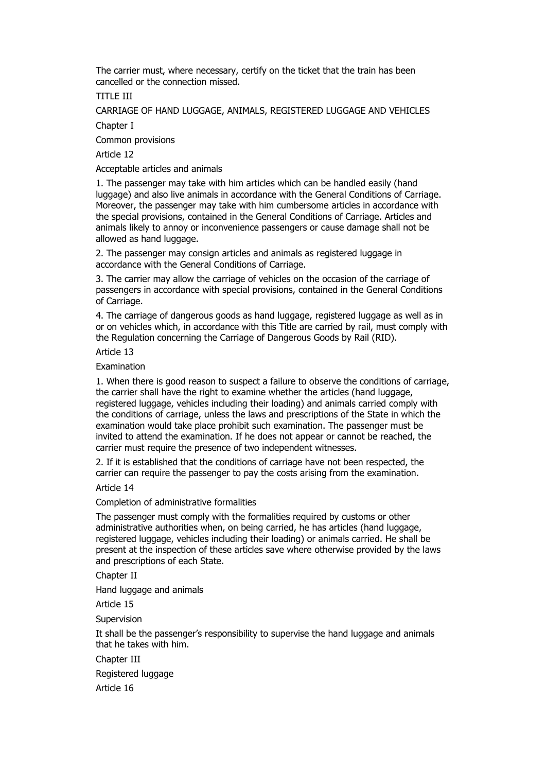The carrier must, where necessary, certify on the ticket that the train has been cancelled or the connection missed.

TITLE III

CARRIAGE OF HAND LUGGAGE, ANIMALS, REGISTERED LUGGAGE AND VEHICLES Chapter I

Common provisions

Article 12

Acceptable articles and animals

1. The passenger may take with him articles which can be handled easily (hand luggage) and also live animals in accordance with the General Conditions of Carriage. Moreover, the passenger may take with him cumbersome articles in accordance with the special provisions, contained in the General Conditions of Carriage. Articles and animals likely to annoy or inconvenience passengers or cause damage shall not be allowed as hand luggage.

2. The passenger may consign articles and animals as registered luggage in accordance with the General Conditions of Carriage.

3. The carrier may allow the carriage of vehicles on the occasion of the carriage of passengers in accordance with special provisions, contained in the General Conditions of Carriage.

4. The carriage of dangerous goods as hand luggage, registered luggage as well as in or on vehicles which, in accordance with this Title are carried by rail, must comply with the Regulation concerning the Carriage of Dangerous Goods by Rail (RID).

Article 13

**Examination** 

1. When there is good reason to suspect a failure to observe the conditions of carriage, the carrier shall have the right to examine whether the articles (hand luggage, registered luggage, vehicles including their loading) and animals carried comply with the conditions of carriage, unless the laws and prescriptions of the State in which the examination would take place prohibit such examination. The passenger must be invited to attend the examination. If he does not appear or cannot be reached, the carrier must require the presence of two independent witnesses.

2. If it is established that the conditions of carriage have not been respected, the carrier can require the passenger to pay the costs arising from the examination.

Article 14

Completion of administrative formalities

The passenger must comply with the formalities required by customs or other administrative authorities when, on being carried, he has articles (hand luggage, registered luggage, vehicles including their loading) or animals carried. He shall be present at the inspection of these articles save where otherwise provided by the laws and prescriptions of each State.

Chapter II

Hand luggage and animals

Article 15

**Supervision** 

It shall be the passenger's responsibility to supervise the hand luggage and animals that he takes with him.

Chapter III

Registered luggage

Article 16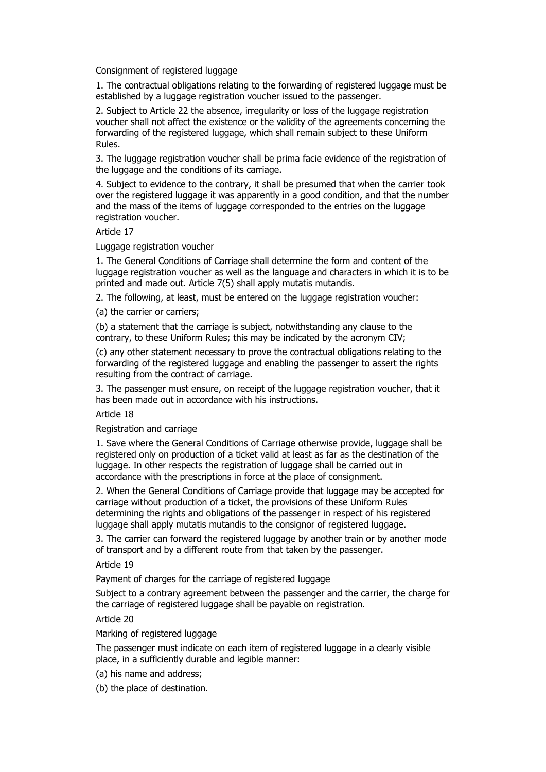Consignment of registered luggage

1. The contractual obligations relating to the forwarding of registered luggage must be established by a luggage registration voucher issued to the passenger.

2. Subject to Article 22 the absence, irregularity or loss of the luggage registration voucher shall not affect the existence or the validity of the agreements concerning the forwarding of the registered luggage, which shall remain subject to these Uniform Rules.

3. The luggage registration voucher shall be prima facie evidence of the registration of the luggage and the conditions of its carriage.

4. Subject to evidence to the contrary, it shall be presumed that when the carrier took over the registered luggage it was apparently in a good condition, and that the number and the mass of the items of luggage corresponded to the entries on the luggage registration voucher.

Article 17

Luggage registration voucher

1. The General Conditions of Carriage shall determine the form and content of the luggage registration voucher as well as the language and characters in which it is to be printed and made out. Article 7(5) shall apply mutatis mutandis.

2. The following, at least, must be entered on the luggage registration voucher:

(a) the carrier or carriers;

(b) a statement that the carriage is subject, notwithstanding any clause to the contrary, to these Uniform Rules; this may be indicated by the acronym CIV;

(c) any other statement necessary to prove the contractual obligations relating to the forwarding of the registered luggage and enabling the passenger to assert the rights resulting from the contract of carriage.

3. The passenger must ensure, on receipt of the luggage registration voucher, that it has been made out in accordance with his instructions.

Article 18

Registration and carriage

1. Save where the General Conditions of Carriage otherwise provide, luggage shall be registered only on production of a ticket valid at least as far as the destination of the luggage. In other respects the registration of luggage shall be carried out in accordance with the prescriptions in force at the place of consignment.

2. When the General Conditions of Carriage provide that luggage may be accepted for carriage without production of a ticket, the provisions of these Uniform Rules determining the rights and obligations of the passenger in respect of his registered luggage shall apply mutatis mutandis to the consignor of registered luggage.

3. The carrier can forward the registered luggage by another train or by another mode of transport and by a different route from that taken by the passenger.

Article 19

Payment of charges for the carriage of registered luggage

Subject to a contrary agreement between the passenger and the carrier, the charge for the carriage of registered luggage shall be payable on registration.

Article 20

Marking of registered luggage

The passenger must indicate on each item of registered luggage in a clearly visible place, in a sufficiently durable and legible manner:

(a) his name and address;

(b) the place of destination.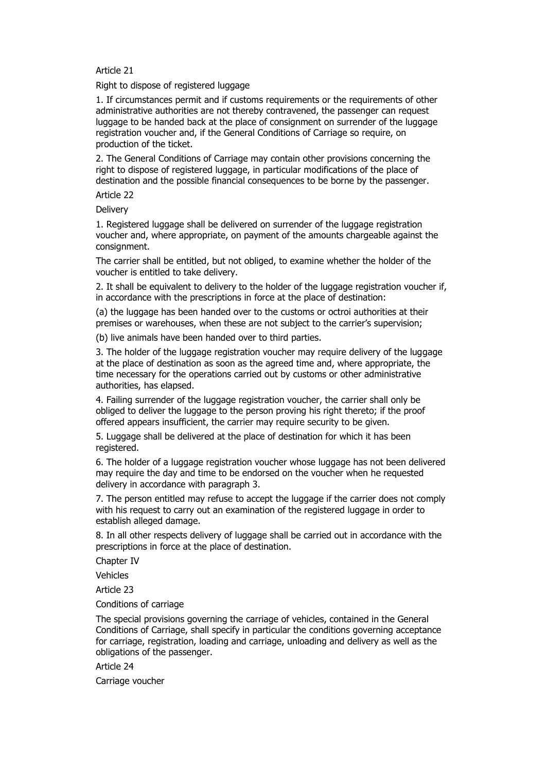Article 21

Right to dispose of registered luggage

1. If circumstances permit and if customs requirements or the requirements of other administrative authorities are not thereby contravened, the passenger can request luggage to be handed back at the place of consignment on surrender of the luggage registration voucher and, if the General Conditions of Carriage so require, on production of the ticket.

2. The General Conditions of Carriage may contain other provisions concerning the right to dispose of registered luggage, in particular modifications of the place of destination and the possible financial consequences to be borne by the passenger.

Article 22

Delivery

1. Registered luggage shall be delivered on surrender of the luggage registration voucher and, where appropriate, on payment of the amounts chargeable against the consignment.

The carrier shall be entitled, but not obliged, to examine whether the holder of the voucher is entitled to take delivery.

2. It shall be equivalent to delivery to the holder of the luggage registration voucher if, in accordance with the prescriptions in force at the place of destination:

(a) the luggage has been handed over to the customs or octroi authorities at their premises or warehouses, when these are not subject to the carrier's supervision;

(b) live animals have been handed over to third parties.

3. The holder of the luggage registration voucher may require delivery of the luggage at the place of destination as soon as the agreed time and, where appropriate, the time necessary for the operations carried out by customs or other administrative authorities, has elapsed.

4. Failing surrender of the luggage registration voucher, the carrier shall only be obliged to deliver the luggage to the person proving his right thereto; if the proof offered appears insufficient, the carrier may require security to be given.

5. Luggage shall be delivered at the place of destination for which it has been registered.

6. The holder of a luggage registration voucher whose luggage has not been delivered may require the day and time to be endorsed on the voucher when he requested delivery in accordance with paragraph 3.

7. The person entitled may refuse to accept the luggage if the carrier does not comply with his request to carry out an examination of the registered luggage in order to establish alleged damage.

8. In all other respects delivery of luggage shall be carried out in accordance with the prescriptions in force at the place of destination.

Chapter IV

Vehicles

Article 23

Conditions of carriage

The special provisions governing the carriage of vehicles, contained in the General Conditions of Carriage, shall specify in particular the conditions governing acceptance for carriage, registration, loading and carriage, unloading and delivery as well as the obligations of the passenger.

Article 24

Carriage voucher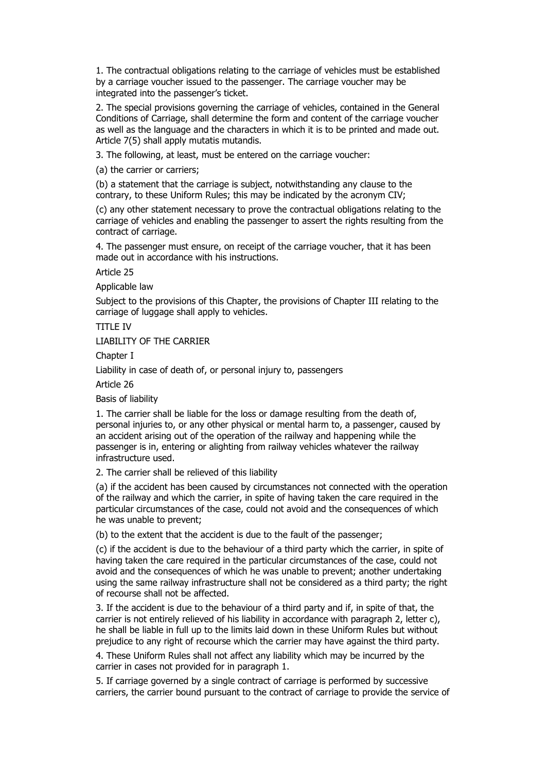1. The contractual obligations relating to the carriage of vehicles must be established by a carriage voucher issued to the passenger. The carriage voucher may be integrated into the passenger's ticket.

2. The special provisions governing the carriage of vehicles, contained in the General Conditions of Carriage, shall determine the form and content of the carriage voucher as well as the language and the characters in which it is to be printed and made out. Article 7(5) shall apply mutatis mutandis.

3. The following, at least, must be entered on the carriage voucher:

(a) the carrier or carriers;

(b) a statement that the carriage is subject, notwithstanding any clause to the contrary, to these Uniform Rules; this may be indicated by the acronym CIV;

(c) any other statement necessary to prove the contractual obligations relating to the carriage of vehicles and enabling the passenger to assert the rights resulting from the contract of carriage.

4. The passenger must ensure, on receipt of the carriage voucher, that it has been made out in accordance with his instructions.

Article 25

Applicable law

Subject to the provisions of this Chapter, the provisions of Chapter III relating to the carriage of luggage shall apply to vehicles.

TITLE IV

LIABILITY OF THE CARRIER

Chapter I

Liability in case of death of, or personal injury to, passengers

Article 26

Basis of liability

1. The carrier shall be liable for the loss or damage resulting from the death of, personal injuries to, or any other physical or mental harm to, a passenger, caused by an accident arising out of the operation of the railway and happening while the passenger is in, entering or alighting from railway vehicles whatever the railway infrastructure used.

2. The carrier shall be relieved of this liability

(a) if the accident has been caused by circumstances not connected with the operation of the railway and which the carrier, in spite of having taken the care required in the particular circumstances of the case, could not avoid and the consequences of which he was unable to prevent;

(b) to the extent that the accident is due to the fault of the passenger;

(c) if the accident is due to the behaviour of a third party which the carrier, in spite of having taken the care required in the particular circumstances of the case, could not avoid and the consequences of which he was unable to prevent; another undertaking using the same railway infrastructure shall not be considered as a third party; the right of recourse shall not be affected.

3. If the accident is due to the behaviour of a third party and if, in spite of that, the carrier is not entirely relieved of his liability in accordance with paragraph 2, letter c), he shall be liable in full up to the limits laid down in these Uniform Rules but without prejudice to any right of recourse which the carrier may have against the third party.

4. These Uniform Rules shall not affect any liability which may be incurred by the carrier in cases not provided for in paragraph 1.

5. If carriage governed by a single contract of carriage is performed by successive carriers, the carrier bound pursuant to the contract of carriage to provide the service of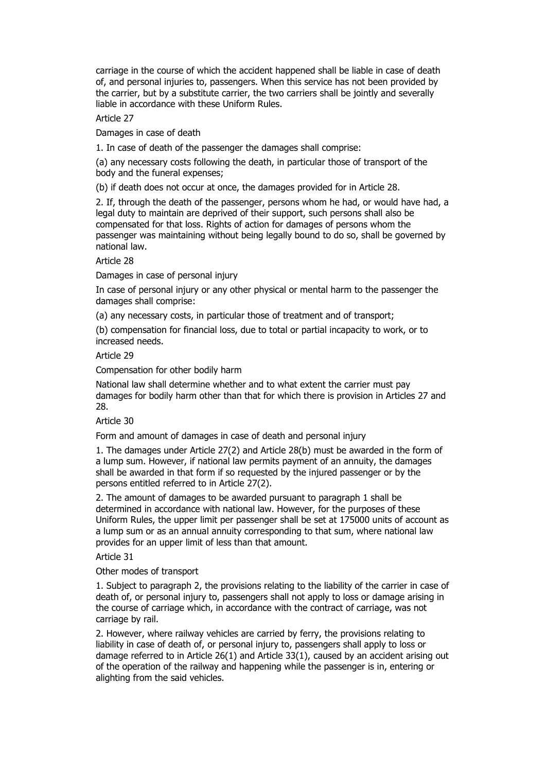carriage in the course of which the accident happened shall be liable in case of death of, and personal injuries to, passengers. When this service has not been provided by the carrier, but by a substitute carrier, the two carriers shall be jointly and severally liable in accordance with these Uniform Rules.

Article 27

Damages in case of death

1. In case of death of the passenger the damages shall comprise:

(a) any necessary costs following the death, in particular those of transport of the body and the funeral expenses;

(b) if death does not occur at once, the damages provided for in Article 28.

2. If, through the death of the passenger, persons whom he had, or would have had, a legal duty to maintain are deprived of their support, such persons shall also be compensated for that loss. Rights of action for damages of persons whom the passenger was maintaining without being legally bound to do so, shall be governed by national law.

Article 28

Damages in case of personal injury

In case of personal injury or any other physical or mental harm to the passenger the damages shall comprise:

(a) any necessary costs, in particular those of treatment and of transport;

(b) compensation for financial loss, due to total or partial incapacity to work, or to increased needs.

# Article 29

Compensation for other bodily harm

National law shall determine whether and to what extent the carrier must pay damages for bodily harm other than that for which there is provision in Articles 27 and 28.

## Article 30

Form and amount of damages in case of death and personal injury

1. The damages under Article 27(2) and Article 28(b) must be awarded in the form of a lump sum. However, if national law permits payment of an annuity, the damages shall be awarded in that form if so requested by the injured passenger or by the persons entitled referred to in Article 27(2).

2. The amount of damages to be awarded pursuant to paragraph 1 shall be determined in accordance with national law. However, for the purposes of these Uniform Rules, the upper limit per passenger shall be set at 175000 units of account as a lump sum or as an annual annuity corresponding to that sum, where national law provides for an upper limit of less than that amount.

Article 31

Other modes of transport

1. Subject to paragraph 2, the provisions relating to the liability of the carrier in case of death of, or personal injury to, passengers shall not apply to loss or damage arising in the course of carriage which, in accordance with the contract of carriage, was not carriage by rail.

2. However, where railway vehicles are carried by ferry, the provisions relating to liability in case of death of, or personal injury to, passengers shall apply to loss or damage referred to in Article 26(1) and Article 33(1), caused by an accident arising out of the operation of the railway and happening while the passenger is in, entering or alighting from the said vehicles.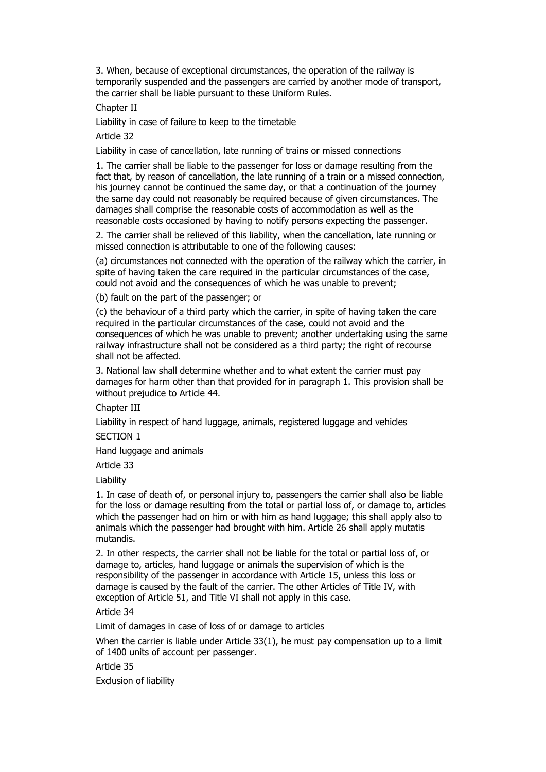3. When, because of exceptional circumstances, the operation of the railway is temporarily suspended and the passengers are carried by another mode of transport, the carrier shall be liable pursuant to these Uniform Rules.

Chapter II

Liability in case of failure to keep to the timetable

Article 32

Liability in case of cancellation, late running of trains or missed connections

1. The carrier shall be liable to the passenger for loss or damage resulting from the fact that, by reason of cancellation, the late running of a train or a missed connection, his journey cannot be continued the same day, or that a continuation of the journey the same day could not reasonably be required because of given circumstances. The damages shall comprise the reasonable costs of accommodation as well as the reasonable costs occasioned by having to notify persons expecting the passenger.

2. The carrier shall be relieved of this liability, when the cancellation, late running or missed connection is attributable to one of the following causes:

(a) circumstances not connected with the operation of the railway which the carrier, in spite of having taken the care required in the particular circumstances of the case, could not avoid and the consequences of which he was unable to prevent;

(b) fault on the part of the passenger; or

(c) the behaviour of a third party which the carrier, in spite of having taken the care required in the particular circumstances of the case, could not avoid and the consequences of which he was unable to prevent; another undertaking using the same railway infrastructure shall not be considered as a third party; the right of recourse shall not be affected.

3. National law shall determine whether and to what extent the carrier must pay damages for harm other than that provided for in paragraph 1. This provision shall be without prejudice to Article 44.

Chapter III

Liability in respect of hand luggage, animals, registered luggage and vehicles

SECTION 1

Hand luggage and animals

Article 33

Liability

1. In case of death of, or personal injury to, passengers the carrier shall also be liable for the loss or damage resulting from the total or partial loss of, or damage to, articles which the passenger had on him or with him as hand luggage; this shall apply also to animals which the passenger had brought with him. Article 26 shall apply mutatis mutandis.

2. In other respects, the carrier shall not be liable for the total or partial loss of, or damage to, articles, hand luggage or animals the supervision of which is the responsibility of the passenger in accordance with Article 15, unless this loss or damage is caused by the fault of the carrier. The other Articles of Title IV, with exception of Article 51, and Title VI shall not apply in this case.

## Article 34

Limit of damages in case of loss of or damage to articles

When the carrier is liable under Article 33(1), he must pay compensation up to a limit of 1400 units of account per passenger.

Article 35

Exclusion of liability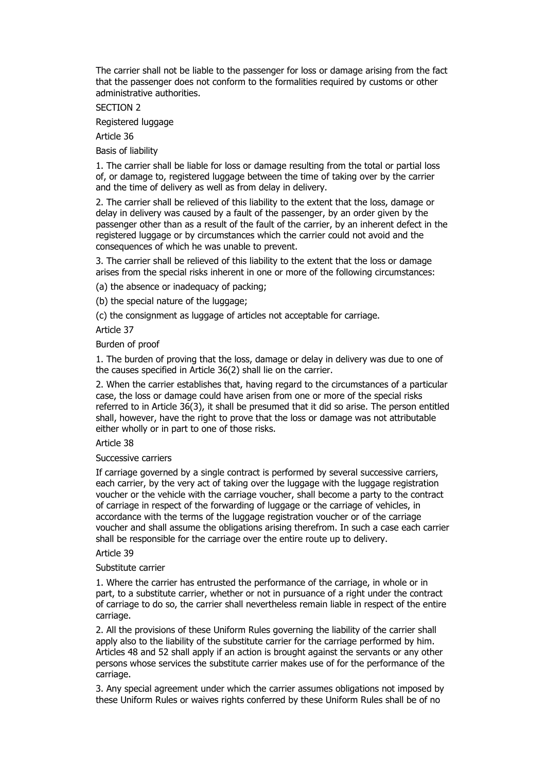The carrier shall not be liable to the passenger for loss or damage arising from the fact that the passenger does not conform to the formalities required by customs or other administrative authorities.

SECTION 2

Registered luggage

Article 36

Basis of liability

1. The carrier shall be liable for loss or damage resulting from the total or partial loss of, or damage to, registered luggage between the time of taking over by the carrier and the time of delivery as well as from delay in delivery.

2. The carrier shall be relieved of this liability to the extent that the loss, damage or delay in delivery was caused by a fault of the passenger, by an order given by the passenger other than as a result of the fault of the carrier, by an inherent defect in the registered luggage or by circumstances which the carrier could not avoid and the consequences of which he was unable to prevent.

3. The carrier shall be relieved of this liability to the extent that the loss or damage arises from the special risks inherent in one or more of the following circumstances:

(a) the absence or inadequacy of packing;

(b) the special nature of the luggage;

(c) the consignment as luggage of articles not acceptable for carriage.

Article 37

#### Burden of proof

1. The burden of proving that the loss, damage or delay in delivery was due to one of the causes specified in Article 36(2) shall lie on the carrier.

2. When the carrier establishes that, having regard to the circumstances of a particular case, the loss or damage could have arisen from one or more of the special risks referred to in Article 36(3), it shall be presumed that it did so arise. The person entitled shall, however, have the right to prove that the loss or damage was not attributable either wholly or in part to one of those risks.

## Article 38

#### Successive carriers

If carriage governed by a single contract is performed by several successive carriers, each carrier, by the very act of taking over the luggage with the luggage registration voucher or the vehicle with the carriage voucher, shall become a party to the contract of carriage in respect of the forwarding of luggage or the carriage of vehicles, in accordance with the terms of the luggage registration voucher or of the carriage voucher and shall assume the obligations arising therefrom. In such a case each carrier shall be responsible for the carriage over the entire route up to delivery.

#### Article 39

### Substitute carrier

1. Where the carrier has entrusted the performance of the carriage, in whole or in part, to a substitute carrier, whether or not in pursuance of a right under the contract of carriage to do so, the carrier shall nevertheless remain liable in respect of the entire carriage.

2. All the provisions of these Uniform Rules governing the liability of the carrier shall apply also to the liability of the substitute carrier for the carriage performed by him. Articles 48 and 52 shall apply if an action is brought against the servants or any other persons whose services the substitute carrier makes use of for the performance of the carriage.

3. Any special agreement under which the carrier assumes obligations not imposed by these Uniform Rules or waives rights conferred by these Uniform Rules shall be of no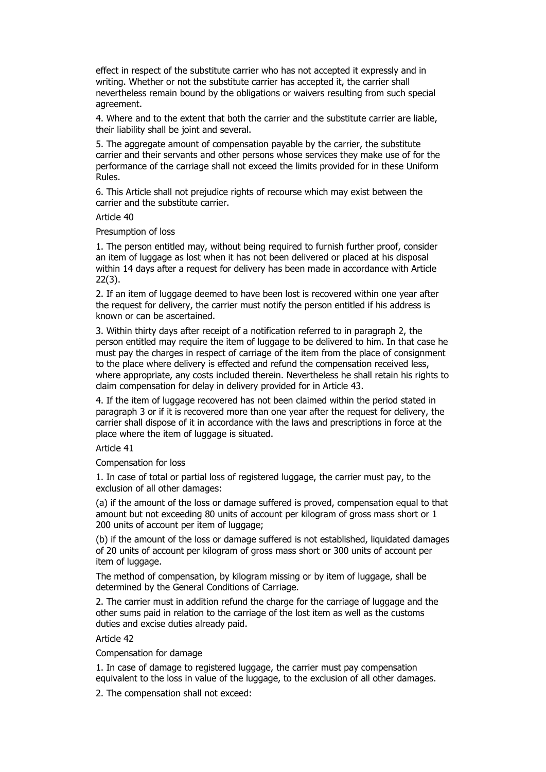effect in respect of the substitute carrier who has not accepted it expressly and in writing. Whether or not the substitute carrier has accepted it, the carrier shall nevertheless remain bound by the obligations or waivers resulting from such special agreement.

4. Where and to the extent that both the carrier and the substitute carrier are liable, their liability shall be joint and several.

5. The aggregate amount of compensation payable by the carrier, the substitute carrier and their servants and other persons whose services they make use of for the performance of the carriage shall not exceed the limits provided for in these Uniform Rules.

6. This Article shall not prejudice rights of recourse which may exist between the carrier and the substitute carrier.

Article 40

Presumption of loss

1. The person entitled may, without being required to furnish further proof, consider an item of luggage as lost when it has not been delivered or placed at his disposal within 14 days after a request for delivery has been made in accordance with Article 22(3).

2. If an item of luggage deemed to have been lost is recovered within one year after the request for delivery, the carrier must notify the person entitled if his address is known or can be ascertained.

3. Within thirty days after receipt of a notification referred to in paragraph 2, the person entitled may require the item of luggage to be delivered to him. In that case he must pay the charges in respect of carriage of the item from the place of consignment to the place where delivery is effected and refund the compensation received less, where appropriate, any costs included therein. Nevertheless he shall retain his rights to claim compensation for delay in delivery provided for in Article 43.

4. If the item of luggage recovered has not been claimed within the period stated in paragraph 3 or if it is recovered more than one year after the request for delivery, the carrier shall dispose of it in accordance with the laws and prescriptions in force at the place where the item of luggage is situated.

Article 41

Compensation for loss

1. In case of total or partial loss of registered luggage, the carrier must pay, to the exclusion of all other damages:

(a) if the amount of the loss or damage suffered is proved, compensation equal to that amount but not exceeding 80 units of account per kilogram of gross mass short or 1 200 units of account per item of luggage;

(b) if the amount of the loss or damage suffered is not established, liquidated damages of 20 units of account per kilogram of gross mass short or 300 units of account per item of luggage.

The method of compensation, by kilogram missing or by item of luggage, shall be determined by the General Conditions of Carriage.

2. The carrier must in addition refund the charge for the carriage of luggage and the other sums paid in relation to the carriage of the lost item as well as the customs duties and excise duties already paid.

Article 42

Compensation for damage

1. In case of damage to registered luggage, the carrier must pay compensation equivalent to the loss in value of the luggage, to the exclusion of all other damages.

2. The compensation shall not exceed: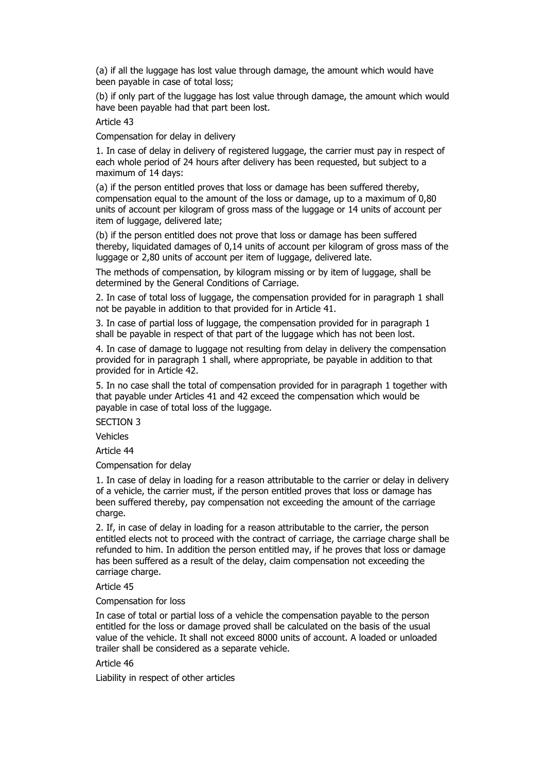(a) if all the luggage has lost value through damage, the amount which would have been payable in case of total loss;

(b) if only part of the luggage has lost value through damage, the amount which would have been payable had that part been lost.

Article 43

Compensation for delay in delivery

1. In case of delay in delivery of registered luggage, the carrier must pay in respect of each whole period of 24 hours after delivery has been requested, but subject to a maximum of 14 days:

(a) if the person entitled proves that loss or damage has been suffered thereby, compensation equal to the amount of the loss or damage, up to a maximum of 0,80 units of account per kilogram of gross mass of the luggage or 14 units of account per item of luggage, delivered late;

(b) if the person entitled does not prove that loss or damage has been suffered thereby, liquidated damages of 0,14 units of account per kilogram of gross mass of the luggage or 2,80 units of account per item of luggage, delivered late.

The methods of compensation, by kilogram missing or by item of luggage, shall be determined by the General Conditions of Carriage.

2. In case of total loss of luggage, the compensation provided for in paragraph 1 shall not be payable in addition to that provided for in Article 41.

3. In case of partial loss of luggage, the compensation provided for in paragraph 1 shall be payable in respect of that part of the luggage which has not been lost.

4. In case of damage to luggage not resulting from delay in delivery the compensation provided for in paragraph 1 shall, where appropriate, be payable in addition to that provided for in Article 42.

5. In no case shall the total of compensation provided for in paragraph 1 together with that payable under Articles 41 and 42 exceed the compensation which would be payable in case of total loss of the luggage.

SECTION 3

Vehicles

Article 44

Compensation for delay

1. In case of delay in loading for a reason attributable to the carrier or delay in delivery of a vehicle, the carrier must, if the person entitled proves that loss or damage has been suffered thereby, pay compensation not exceeding the amount of the carriage charge.

2. If, in case of delay in loading for a reason attributable to the carrier, the person entitled elects not to proceed with the contract of carriage, the carriage charge shall be refunded to him. In addition the person entitled may, if he proves that loss or damage has been suffered as a result of the delay, claim compensation not exceeding the carriage charge.

## Article 45

Compensation for loss

In case of total or partial loss of a vehicle the compensation payable to the person entitled for the loss or damage proved shall be calculated on the basis of the usual value of the vehicle. It shall not exceed 8000 units of account. A loaded or unloaded trailer shall be considered as a separate vehicle.

#### Article 46

Liability in respect of other articles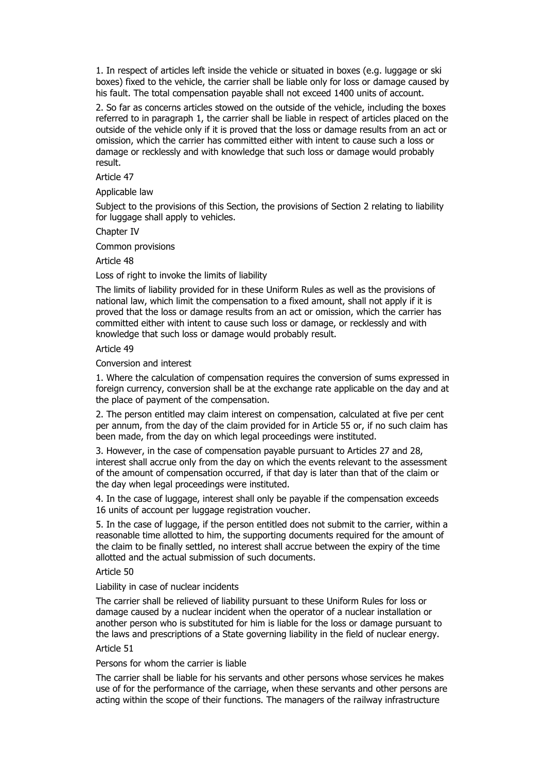1. In respect of articles left inside the vehicle or situated in boxes (e.g. luggage or ski boxes) fixed to the vehicle, the carrier shall be liable only for loss or damage caused by his fault. The total compensation payable shall not exceed 1400 units of account.

2. So far as concerns articles stowed on the outside of the vehicle, including the boxes referred to in paragraph 1, the carrier shall be liable in respect of articles placed on the outside of the vehicle only if it is proved that the loss or damage results from an act or omission, which the carrier has committed either with intent to cause such a loss or damage or recklessly and with knowledge that such loss or damage would probably result.

Article 47

Applicable law

Subject to the provisions of this Section, the provisions of Section 2 relating to liability for luggage shall apply to vehicles.

Chapter IV

Common provisions

Article 48

Loss of right to invoke the limits of liability

The limits of liability provided for in these Uniform Rules as well as the provisions of national law, which limit the compensation to a fixed amount, shall not apply if it is proved that the loss or damage results from an act or omission, which the carrier has committed either with intent to cause such loss or damage, or recklessly and with knowledge that such loss or damage would probably result.

Article 49

Conversion and interest

1. Where the calculation of compensation requires the conversion of sums expressed in foreign currency, conversion shall be at the exchange rate applicable on the day and at the place of payment of the compensation.

2. The person entitled may claim interest on compensation, calculated at five per cent per annum, from the day of the claim provided for in Article 55 or, if no such claim has been made, from the day on which legal proceedings were instituted.

3. However, in the case of compensation payable pursuant to Articles 27 and 28, interest shall accrue only from the day on which the events relevant to the assessment of the amount of compensation occurred, if that day is later than that of the claim or the day when legal proceedings were instituted.

4. In the case of luggage, interest shall only be payable if the compensation exceeds 16 units of account per luggage registration voucher.

5. In the case of luggage, if the person entitled does not submit to the carrier, within a reasonable time allotted to him, the supporting documents required for the amount of the claim to be finally settled, no interest shall accrue between the expiry of the time allotted and the actual submission of such documents.

Article 50

Liability in case of nuclear incidents

The carrier shall be relieved of liability pursuant to these Uniform Rules for loss or damage caused by a nuclear incident when the operator of a nuclear installation or another person who is substituted for him is liable for the loss or damage pursuant to the laws and prescriptions of a State governing liability in the field of nuclear energy.

## Article 51

Persons for whom the carrier is liable

The carrier shall be liable for his servants and other persons whose services he makes use of for the performance of the carriage, when these servants and other persons are acting within the scope of their functions. The managers of the railway infrastructure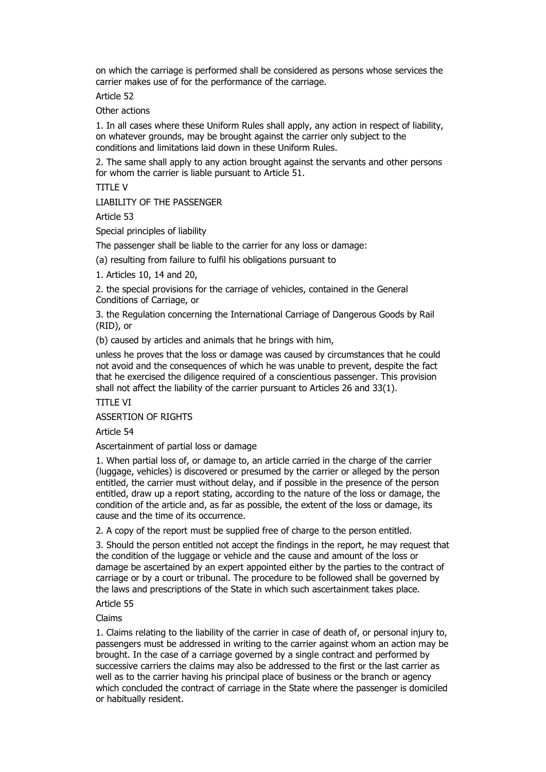on which the carriage is performed shall be considered as persons whose services the carrier makes use of for the performance of the carriage.

Article 52

Other actions

1. In all cases where these Uniform Rules shall apply, any action in respect of liability, on whatever grounds, may be brought against the carrier only subject to the conditions and limitations laid down in these Uniform Rules.

2. The same shall apply to any action brought against the servants and other persons for whom the carrier is liable pursuant to Article 51.

TITLE V

LIABILITY OF THE PASSENGER

Article 53

Special principles of liability

The passenger shall be liable to the carrier for any loss or damage:

(a) resulting from failure to fulfil his obligations pursuant to

1. Articles 10, 14 and 20,

2. the special provisions for the carriage of vehicles, contained in the General Conditions of Carriage, or

3. the Regulation concerning the International Carriage of Dangerous Goods by Rail (RID), or

(b) caused by articles and animals that he brings with him,

unless he proves that the loss or damage was caused by circumstances that he could not avoid and the consequences of which he was unable to prevent, despite the fact that he exercised the diligence required of a conscientious passenger. This provision shall not affect the liability of the carrier pursuant to Articles 26 and 33(1).

TITLE VI

ASSERTION OF RIGHTS

Article 54

Ascertainment of partial loss or damage

1. When partial loss of, or damage to, an article carried in the charge of the carrier (luggage, vehicles) is discovered or presumed by the carrier or alleged by the person entitled, the carrier must without delay, and if possible in the presence of the person entitled, draw up a report stating, according to the nature of the loss or damage, the condition of the article and, as far as possible, the extent of the loss or damage, its cause and the time of its occurrence.

2. A copy of the report must be supplied free of charge to the person entitled.

3. Should the person entitled not accept the findings in the report, he may request that the condition of the luggage or vehicle and the cause and amount of the loss or damage be ascertained by an expert appointed either by the parties to the contract of carriage or by a court or tribunal. The procedure to be followed shall be governed by the laws and prescriptions of the State in which such ascertainment takes place.

#### Article 55

Claims

1. Claims relating to the liability of the carrier in case of death of, or personal injury to, passengers must be addressed in writing to the carrier against whom an action may be brought. In the case of a carriage governed by a single contract and performed by successive carriers the claims may also be addressed to the first or the last carrier as well as to the carrier having his principal place of business or the branch or agency which concluded the contract of carriage in the State where the passenger is domiciled or habitually resident.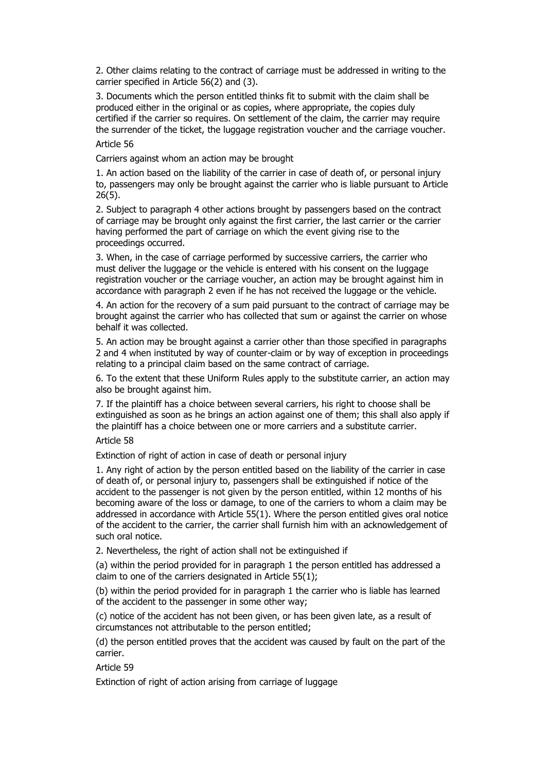2. Other claims relating to the contract of carriage must be addressed in writing to the carrier specified in Article 56(2) and (3).

3. Documents which the person entitled thinks fit to submit with the claim shall be produced either in the original or as copies, where appropriate, the copies duly certified if the carrier so requires. On settlement of the claim, the carrier may require the surrender of the ticket, the luggage registration voucher and the carriage voucher.

# Article 56

Carriers against whom an action may be brought

1. An action based on the liability of the carrier in case of death of, or personal injury to, passengers may only be brought against the carrier who is liable pursuant to Article 26(5).

2. Subject to paragraph 4 other actions brought by passengers based on the contract of carriage may be brought only against the first carrier, the last carrier or the carrier having performed the part of carriage on which the event giving rise to the proceedings occurred.

3. When, in the case of carriage performed by successive carriers, the carrier who must deliver the luggage or the vehicle is entered with his consent on the luggage registration voucher or the carriage voucher, an action may be brought against him in accordance with paragraph 2 even if he has not received the luggage or the vehicle.

4. An action for the recovery of a sum paid pursuant to the contract of carriage may be brought against the carrier who has collected that sum or against the carrier on whose behalf it was collected.

5. An action may be brought against a carrier other than those specified in paragraphs 2 and 4 when instituted by way of counter-claim or by way of exception in proceedings relating to a principal claim based on the same contract of carriage.

6. To the extent that these Uniform Rules apply to the substitute carrier, an action may also be brought against him.

7. If the plaintiff has a choice between several carriers, his right to choose shall be extinguished as soon as he brings an action against one of them; this shall also apply if the plaintiff has a choice between one or more carriers and a substitute carrier.

## Article 58

Extinction of right of action in case of death or personal injury

1. Any right of action by the person entitled based on the liability of the carrier in case of death of, or personal injury to, passengers shall be extinguished if notice of the accident to the passenger is not given by the person entitled, within 12 months of his becoming aware of the loss or damage, to one of the carriers to whom a claim may be addressed in accordance with Article 55(1). Where the person entitled gives oral notice of the accident to the carrier, the carrier shall furnish him with an acknowledgement of such oral notice.

2. Nevertheless, the right of action shall not be extinguished if

(a) within the period provided for in paragraph 1 the person entitled has addressed a claim to one of the carriers designated in Article 55(1);

(b) within the period provided for in paragraph 1 the carrier who is liable has learned of the accident to the passenger in some other way;

(c) notice of the accident has not been given, or has been given late, as a result of circumstances not attributable to the person entitled;

(d) the person entitled proves that the accident was caused by fault on the part of the carrier.

Article 59

Extinction of right of action arising from carriage of luggage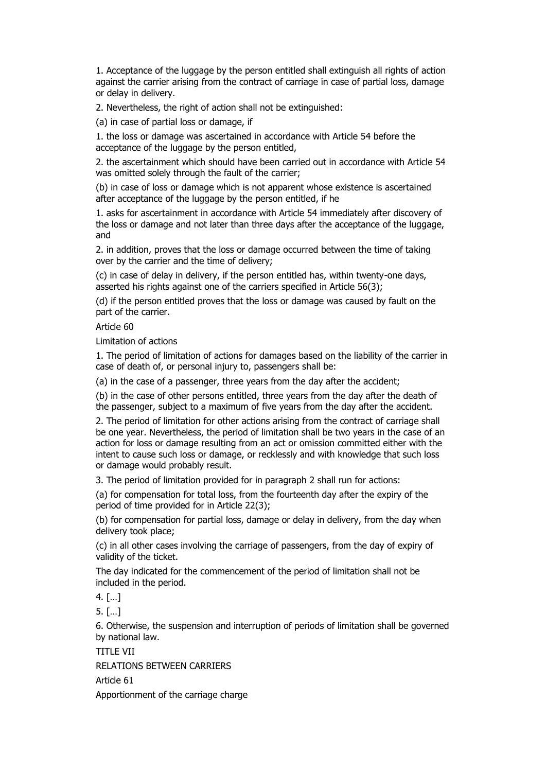1. Acceptance of the luggage by the person entitled shall extinguish all rights of action against the carrier arising from the contract of carriage in case of partial loss, damage or delay in delivery.

2. Nevertheless, the right of action shall not be extinguished:

(a) in case of partial loss or damage, if

1. the loss or damage was ascertained in accordance with Article 54 before the acceptance of the luggage by the person entitled,

2. the ascertainment which should have been carried out in accordance with Article 54 was omitted solely through the fault of the carrier;

(b) in case of loss or damage which is not apparent whose existence is ascertained after acceptance of the luggage by the person entitled, if he

1. asks for ascertainment in accordance with Article 54 immediately after discovery of the loss or damage and not later than three days after the acceptance of the luggage, and

2. in addition, proves that the loss or damage occurred between the time of taking over by the carrier and the time of delivery;

(c) in case of delay in delivery, if the person entitled has, within twenty-one days, asserted his rights against one of the carriers specified in Article 56(3);

(d) if the person entitled proves that the loss or damage was caused by fault on the part of the carrier.

Article 60

Limitation of actions

1. The period of limitation of actions for damages based on the liability of the carrier in case of death of, or personal injury to, passengers shall be:

(a) in the case of a passenger, three years from the day after the accident;

(b) in the case of other persons entitled, three years from the day after the death of the passenger, subject to a maximum of five years from the day after the accident.

2. The period of limitation for other actions arising from the contract of carriage shall be one year. Nevertheless, the period of limitation shall be two years in the case of an action for loss or damage resulting from an act or omission committed either with the intent to cause such loss or damage, or recklessly and with knowledge that such loss or damage would probably result.

3. The period of limitation provided for in paragraph 2 shall run for actions:

(a) for compensation for total loss, from the fourteenth day after the expiry of the period of time provided for in Article 22(3);

(b) for compensation for partial loss, damage or delay in delivery, from the day when delivery took place;

(c) in all other cases involving the carriage of passengers, from the day of expiry of validity of the ticket.

The day indicated for the commencement of the period of limitation shall not be included in the period.

4. […]

5. […]

6. Otherwise, the suspension and interruption of periods of limitation shall be governed by national law.

TITLE VII RELATIONS BETWEEN CARRIERS Article 61

Apportionment of the carriage charge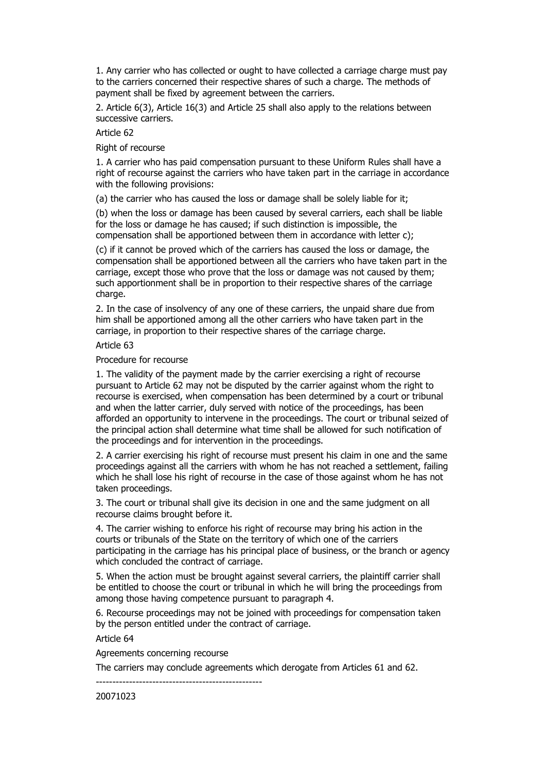1. Any carrier who has collected or ought to have collected a carriage charge must pay to the carriers concerned their respective shares of such a charge. The methods of payment shall be fixed by agreement between the carriers.

2. Article 6(3), Article 16(3) and Article 25 shall also apply to the relations between successive carriers.

Article 62

Right of recourse

1. A carrier who has paid compensation pursuant to these Uniform Rules shall have a right of recourse against the carriers who have taken part in the carriage in accordance with the following provisions:

(a) the carrier who has caused the loss or damage shall be solely liable for it;

(b) when the loss or damage has been caused by several carriers, each shall be liable for the loss or damage he has caused; if such distinction is impossible, the compensation shall be apportioned between them in accordance with letter c);

(c) if it cannot be proved which of the carriers has caused the loss or damage, the compensation shall be apportioned between all the carriers who have taken part in the carriage, except those who prove that the loss or damage was not caused by them; such apportionment shall be in proportion to their respective shares of the carriage charge.

2. In the case of insolvency of any one of these carriers, the unpaid share due from him shall be apportioned among all the other carriers who have taken part in the carriage, in proportion to their respective shares of the carriage charge.

Article 63

Procedure for recourse

1. The validity of the payment made by the carrier exercising a right of recourse pursuant to Article 62 may not be disputed by the carrier against whom the right to recourse is exercised, when compensation has been determined by a court or tribunal and when the latter carrier, duly served with notice of the proceedings, has been afforded an opportunity to intervene in the proceedings. The court or tribunal seized of the principal action shall determine what time shall be allowed for such notification of the proceedings and for intervention in the proceedings.

2. A carrier exercising his right of recourse must present his claim in one and the same proceedings against all the carriers with whom he has not reached a settlement, failing which he shall lose his right of recourse in the case of those against whom he has not taken proceedings.

3. The court or tribunal shall give its decision in one and the same judgment on all recourse claims brought before it.

4. The carrier wishing to enforce his right of recourse may bring his action in the courts or tribunals of the State on the territory of which one of the carriers participating in the carriage has his principal place of business, or the branch or agency which concluded the contract of carriage.

5. When the action must be brought against several carriers, the plaintiff carrier shall be entitled to choose the court or tribunal in which he will bring the proceedings from among those having competence pursuant to paragraph 4.

6. Recourse proceedings may not be joined with proceedings for compensation taken by the person entitled under the contract of carriage.

Article 64

Agreements concerning recourse

The carriers may conclude agreements which derogate from Articles 61 and 62.

--------------------------------------------------

20071023